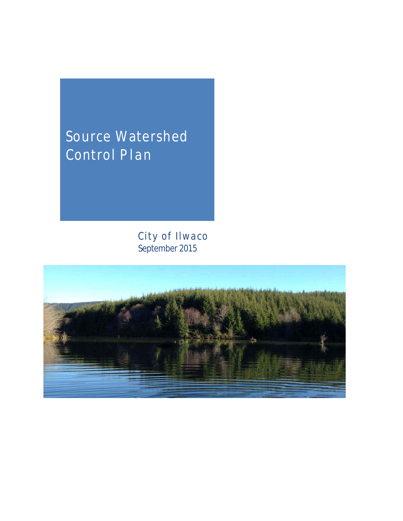# Source Watershed Control Plan

City of Ilwaco September 2015

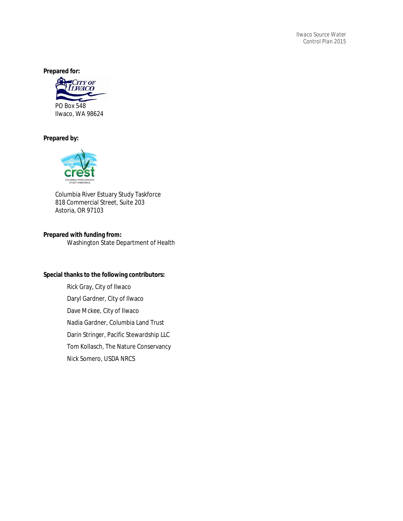*Ilwaco Source Water Control Plan 2015*

**Prepared for:** 



#### **Prepared by:**



Columbia River Estuary Study Taskforce 818 Commercial Street, Suite 203 Astoria, OR 97103

#### **Prepared with funding from:**

Washington State Department of Health

#### **Special thanks to the following contributors:**

Rick Gray, City of Ilwaco Daryl Gardner, City of Ilwaco Dave Mckee, City of Ilwaco Nadia Gardner, Columbia Land Trust Darin Stringer, Pacific Stewardship LLC Tom Kollasch, The Nature Conservancy Nick Somero, USDA NRCS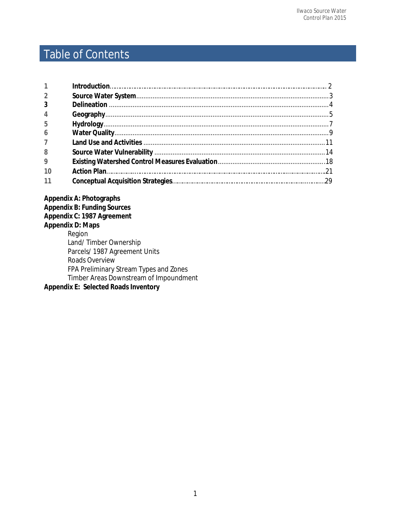# Table of Contents

| $\mathcal{P}$  |  |
|----------------|--|
| 3              |  |
|                |  |
| 5              |  |
| $\overline{6}$ |  |
| $\overline{7}$ |  |
| 8              |  |
| $\mathbf{Q}$   |  |
|                |  |
|                |  |

**Appendix A: Photographs Appendix B: Funding Sources Appendix C: 1987 Agreement Appendix D: Maps** Region Land/ Timber Ownership Parcels/ 1987 Agreement Units Roads Overview FPA Preliminary Stream Types and Zones Timber Areas Downstream of Impoundment

**Appendix E: Selected Roads Inventory**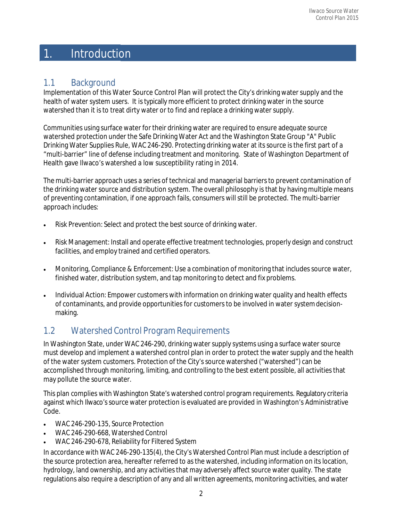# 1. Introduction

# 1.1 Background

Implementation of this Water Source Control Plan will protect the City's drinking watersupply and the health of water system users. It is typically more efficient to protect drinking water in the source watershed than it is to treat dirty water or to find and replace a drinking water supply.

Communities using surface water for their drinking water are required to ensure adequate source watershed protection under the Safe Drinking Water Act and the Washington State Group "A" Public Drinking Water Supplies Rule, WAC 246‐290. Protecting drinking water at its source is the first part of a "multi‐barrier" line of defense including treatment and monitoring. State of Washington Department of Health gave Ilwaco's watershed a low susceptibility rating in 2014.

The multi-barrier approach uses a series of technical and managerial barriers to prevent contamination of the drinking water source and distribution system. The overall philosophy is that by having multiple means of preventing contamination, if one approach fails, consumers will still be protected. The multi‐barrier approach includes:

- Risk Prevention: Select and protect the best source of drinking water.
- Risk Management: Install and operate effective treatment technologies, properly design and construct facilities, and employ trained and certified operators.
- Monitoring, Compliance & Enforcement: Use a combination of monitoring that includes source water, finished water, distribution system, and tap monitoring to detect and fix problems.
- Individual Action: Empower customers with information on drinking water quality and health effects of contaminants, and provide opportunities for customers to be involved in water system decisionmaking.

# 1.2 Watershed Control Program Requirements

**1** In Washington State, under WAC 246‐290, drinking water supply systems using <sup>a</sup> surface watersource must develop and implement a watershed control plan in order to protect the water supply and the health of the water system customers. Protection of the City's source watershed ("watershed") can be accomplished through monitoring, limiting, and controlling to the best extent possible, all activities that may pollute the source water.

This plan complies with Washington State's watershed control program requirements. Regulatory criteria against which Ilwaco's source water protection is evaluated are provided in Washington's Administrative Code.

- WAC 246‐290‐135, Source Protection
- WAC 246‐290‐668, Watershed Control
- WAC 246‐290‐678, Reliability for Filtered System

In accordance with WAC 246‐290‐135(4), the City's Watershed Control Plan must include a description of the source protection area, hereafter referred to asthe watershed, including information on its location, hydrology, land ownership, and any activitiesthat may adversely affect source water quality. The state regulations also require a description of any and all written agreements, monitoring activities, and water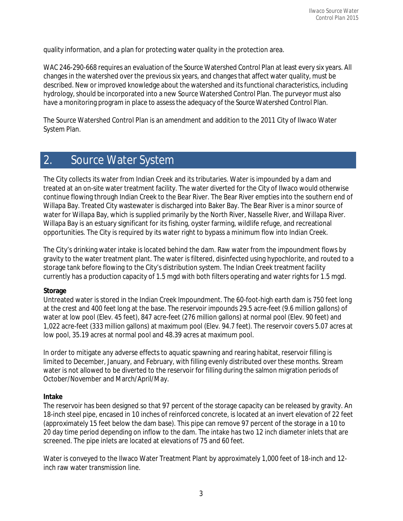quality information, and a plan for protecting water quality in the protection area.

WAC 246-290-668 requires an evaluation of the Source Watershed Control Plan at least every six years. All changes in the watershed over the previous six years, and changes that affect water quality, must be described. New or improved knowledge about the watershed and itsfunctional characteristics, including hydrology, should be incorporated into a new Source Watershed Control Plan. The purveyor must also have a monitoring program in place to assessthe adequacy of the Source Watershed Control Plan.

The Source Watershed Control Plan is an amendment and addition to the 2011 City of Ilwaco Water System Plan.

# 2. Source Water System

The City collects its water from Indian Creek and its tributaries. Water is impounded by a dam and treated at an on‐site water treatment facility. The water diverted for the City of Ilwaco would otherwise continue flowing through Indian Creek to the Bear River. The Bear River empties into the southern end of Willapa Bay. Treated City wastewater is discharged into Baker Bay. The Bear River is a minor source of water for Willapa Bay, which is supplied primarily by the North River, Nasselle River, and Willapa River. Willapa Bay is an estuary significant for its fishing, oyster farming, wildlife refuge, and recreational opportunities. The City is required by its water right to bypass a minimum flow into Indian Creek.

The City's drinking water intake is located behind the dam. Raw water from the impoundment flows by gravity to the water treatment plant. The water is filtered, disinfected using hypochlorite, and routed to a storage tank before flowing to the City's distribution system. The Indian Creek treatment facility currently has a production capacity of 1.5 mgd with both filters operating and water rights for 1.5 mgd.

#### **Storage**

Untreated water is stored in the Indian Creek Impoundment. The 60‐foot‐high earth dam is 750 feet long at the crest and 400 feet long at the base. The reservoir impounds 29.5 acre‐feet (9.6 million gallons) of water at low pool (Elev. 45 feet), 847 acre-feet (276 million gallons) at normal pool (Elev. 90 feet) and 1,022 acre‐feet (333 million gallons) at maximum pool (Elev. 94.7 feet). The reservoir covers 5.07 acres at low pool, 35.19 acres at normal pool and 48.39 acres at maximum pool.

In order to mitigate any adverse effects to aquatic spawning and rearing habitat, reservoir filling is limited to December, January, and February, with filling evenly distributed over these months. Stream water is not allowed to be diverted to the reservoir for filling during the salmon migration periods of October/November and March/April/May.

#### **Intake**

The reservoir has been designed so that 97 percent of the storage capacity can be released by gravity. An 18‐inch steel pipe, encased in 10 inches of reinforced concrete, is located at an invert elevation of 22 feet (approximately 15 feet below the dam base). This pipe can remove 97 percent of the storage in a 10 to 20 day time period depending on inflow to the dam. The intake has two 12 inch diameter inlets that are screened. The pipe inlets are located at elevations of 75 and 60 feet.

Water is conveyed to the Ilwaco Water Treatment Plant by approximately 1,000 feet of 18-inch and 12inch raw water transmission line.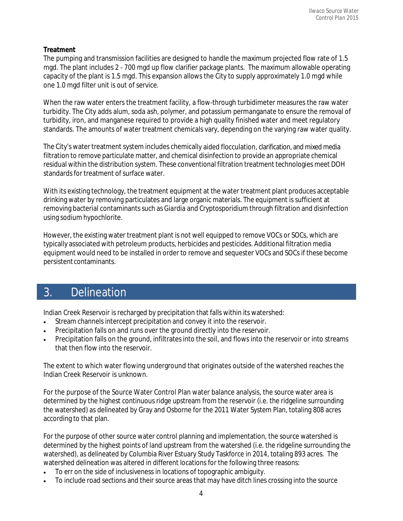#### **Treatment**

The pumping and transmission facilities are designed to handle the maximum projected flow rate of 1.5 mgd. The plant includes 2 ‐ 700 mgd up flow clarifier package plants. The maximum allowable operating capacity of the plant is 1.5 mgd. This expansion allows the City to supply approximately 1.0 mgd while one 1.0 mgd filter unit is out of service.

When the raw water enters the treatment facility, a flow-through turbidimeter measures the raw water turbidity. The City adds alum, soda ash, polymer, and potassium permanganate to ensure the removal of turbidity, iron, and manganese required to provide a high quality finished water and meet regulatory standards. The amounts of water treatment chemicals vary, depending on the varying raw water quality.

The City's water treatment system includes chemically aided flocculation, clarification, and mixed media filtration to remove particulate matter, and chemical disinfection to provide an appropriate chemical residual within the distribution system. These conventional filtration treatment technologies meet DOH standards for treatment of surface water.

With its existing technology, the treatment equipment at the water treatment plant produces acceptable drinking water by removing particulates and large organic materials. The equipment is sufficient at removing bacterial contaminants such as *Giardia* and *Cryptosporidium* through filtration and disinfection using sodium hypochlorite.

However, the existing water treatment plant is not well equipped to remove VOCs or SOCs, which are typically associated with petroleum products, herbicides and pesticides. Additional filtration media equipment would need to be installed in order to remove and sequester VOCs and SOCs if these become persistent contaminants.

# 3. Delineation

Indian Creek Reservoir is recharged by precipitation that falls within its watershed:

- Stream channels intercept precipitation and convey it into the reservoir.
- Precipitation falls on and runs over the ground directly into the reservoir.
- Precipitation falls on the ground, infiltrates into the soil, and flows into the reservoir or into streams that then flow into the reservoir.

The extent to which water flowing underground that originates outside of the watershed reaches the Indian Creek Reservoir is unknown.

For the purpose of the Source Water Control Plan water balance analysis, the source water area is determined by the highest continuous ridge upstream from the reservoir (i.e. the ridgeline surrounding the watershed) as delineated by Gray and Osborne for the 2011 Water System Plan, totaling 808 acres according to that plan.

For the purpose of other source water control planning and implementation, the source watershed is determined by the highest points of land upstream from the watershed (i.e. the ridgeline surrounding the watershed), as delineated by Columbia River Estuary Study Taskforce in 2014, totaling 893 acres. The watershed delineation was altered in different locations for the following three reasons:

- To err on the side of inclusiveness in locations of topographic ambiguity.
- To include road sections and their source areas that may have ditch lines crossing into the source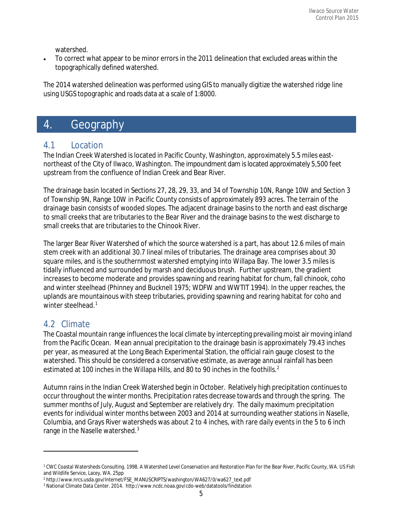watershed.

• To correct what appear to be minor errors in the 2011 delineation that excluded areas within the topographically defined watershed.

The 2014 watershed delineation was performed using GIS to manually digitize the watershed ridge line using USGS topographic and roads data at a scale of 1:8000.

# 4. Geography

# 4.1 Location

The Indian Creek Watershed is located in Pacific County, Washington, approximately 5.5 miles east‐ northeast of the City of Ilwaco, Washington. The impoundment dam is located approximately 5,500 feet upstream from the confluence of Indian Creek and Bear River.

The drainage basin located in Sections 27, 28, 29, 33, and 34 of Township 10N, Range 10W and Section 3 of Township 9N, Range 10W in Pacific County consists of approximately 893 acres. The terrain of the drainage basin consists of wooded slopes. The adjacent drainage basins to the north and east discharge to small creeks that are tributaries to the Bear River and the drainage basins to the west discharge to small creeks that are tributaries to the Chinook River.

The larger Bear River Watershed of which the source watershed is a part, has about 12.6 miles of main stem creek with an additional 30.7 lineal miles of tributaries. The drainage area comprises about 30 square miles, and is the southernmost watershed emptying into Willapa Bay. The lower 3.5 miles is tidally influenced and surrounded by marsh and deciduous brush. Further upstream, the gradient increases to become moderate and provides spawning and rearing habitat for chum, fall chinook, coho and winter steelhead (Phinney and Bucknell 1975; WDFW and WWTIT 1994). In the upper reaches, the uplands are mountainous with steep tributaries, providing spawning and rearing habitat for coho and winter steelhead.<sup>[1](#page-6-0)</sup>

# 4.2 Climate

l

The Coastal mountain range influences the local climate by intercepting prevailing moist air moving inland from the Pacific Ocean. Mean annual precipitation to the drainage basin is approximately 79.43 inches per year, as measured at the Long Beach Experimental Station, the official rain gauge closest to the watershed. This should be considered a conservative estimate, as average annual rainfall has been estimated at 100 inches in the Willapa Hills, and 80 to 90 inches in the foothills.<sup>[2](#page-6-1)</sup>

Autumn rains in the Indian Creek Watershed begin in October. Relatively high precipitation continuesto occur throughout the winter months. Precipitation rates decrease towards and through the spring. The summer months of July, August and September are relatively dry. The daily maximum precipitation events for individual winter months between 2003 and 2014 at surrounding weather stations in Naselle, Columbia, and Grays River watersheds was about 2 to 4 inches, with rare daily events in the 5 to 6 inch range in the Naselle watershed.[3](#page-6-2)

<span id="page-6-0"></span><sup>1</sup> CWC Coastal Watersheds Consulting. 1998. A Watershed Level Conservation and Restoration Plan for the Bear River, Pacific County, WA. US Fish and Wildlife Service, Lacey, WA. 25pp

<span id="page-6-2"></span><span id="page-6-1"></span><sup>2</sup> http://www.nrcs.usda.gov/Internet/FSE\_MANUSCRIPTS/washington/WA627/0/wa627\_text.pdf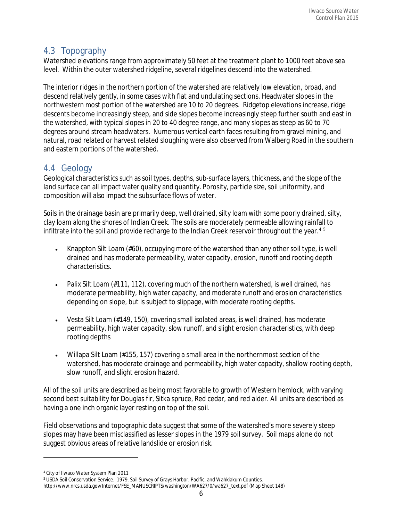# 4.3 Topography

Watershed elevations range from approximately 50 feet at the treatment plant to 1000 feet above sea level. Within the outer watershed ridgeline, several ridgelines descend into the watershed.

The interior ridges in the northern portion of the watershed are relatively low elevation, broad, and descend relatively gently, in some cases with flat and undulating sections. Headwater slopes in the northwestern most portion of the watershed are 10 to 20 degrees. Ridgetop elevations increase, ridge descents become increasingly steep, and side slopes become increasingly steep further south and east in the watershed, with typical slopes in 20 to 40 degree range, and many slopes as steep as 60 to 70 degrees around stream headwaters. Numerous vertical earth faces resulting from gravel mining, and natural, road related or harvest related sloughing were also observed from Walberg Road in the southern and eastern portions of the watershed.

# 4.4 Geology

Geological characteristics such as soil types, depths, sub-surface layers, thickness, and the slope of the land surface can all impact water quality and quantity. Porosity, particle size, soil uniformity, and composition will also impact the subsurface flows of water.

Soils in the drainage basin are primarily deep, well drained, silty loam with some poorly drained, silty, clay loam along the shores of Indian Creek. The soils are moderately permeable allowing rainfall to infiltrate into the soil and provide recharge to the Indian Creek reservoir throughout the year.<sup>[4](#page-7-0)[5](#page-7-1)</sup>

- Knappton Silt Loam (#60), occupying more of the watershed than any other soil type, is well drained and has moderate permeability, water capacity, erosion, runoff and rooting depth characteristics.
- Palix Silt Loam (#111, 112), covering much of the northern watershed, is well drained, has moderate permeability, high water capacity, and moderate runoff and erosion characteristics depending on slope, but is subject to slippage, with moderate rooting depths.
- Vesta Silt Loam (#149, 150), covering small isolated areas, is well drained, has moderate permeability, high water capacity, slow runoff, and slight erosion characteristics, with deep rooting depths
- Willapa Silt Loam (#155, 157) covering a small area in the northernmost section of the watershed, has moderate drainage and permeability, high water capacity, shallow rooting depth, slow runoff, and slight erosion hazard.

All of the soil units are described as being most favorable to growth of Western hemlock, with varying second best suitability for Douglas fir, Sitka spruce, Red cedar, and red alder. All units are described as having a one inch organic layer resting on top of the soil.

Field observations and topographic data suggest that some of the watershed's more severely steep slopes may have been misclassified as lesser slopes in the 1979 soil survey. Soil maps alone do not suggest obvious areas of relative landslide or erosion risk.

 $\overline{\phantom{a}}$ 

<span id="page-7-0"></span><sup>4</sup> City of Ilwaco Water System Plan 2011

<sup>5</sup> USDA Soil Conservation Service. 1979. Soil Survey of Grays Harbor, Pacific, and Wahkiakum Counties.

<span id="page-7-1"></span>[http://www.nrcs.usda.gov/Internet/FSE\\_MANUSCRIPTS/washington/WA627/0/wa627\\_text.pdf](http://www.nrcs.usda.gov/Internet/FSE_MANUSCRIPTS/washington/WA627/0/wa627_text.pdf) (Map Sheet 148)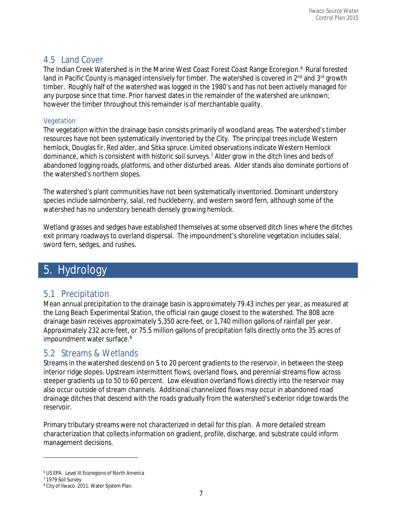### 4.5 Land Cover

The Indian Creek Watershed is in the Marine West Coast Forest Coast Range Ecoregion.<sup>[6](#page-8-0)</sup> Rural forested land in Pacific County is managed intensively for timber. The watershed is covered in 2<sup>nd</sup> and 3<sup>rd</sup> growth timber. Roughly half of the watershed was logged in the 1980's and has not been actively managed for any purpose since that time. Prior harvest dates in the remainder of the watershed are unknown; however the timber throughout this remainder is of merchantable quality.

#### *Vegetation*

The vegetation within the drainage basin consists primarily of woodland areas. The watershed's timber resources have not been systematically inventoried by the City. The principal trees include Western hemlock, Douglas fir, Red alder, and Sitka spruce. Limited observations indicate Western Hemlock dominance, which is consistent with historic soil surveys.[7](#page-8-1) Alder grow in the ditch lines and beds of abandoned logging roads, platforms, and other disturbed areas. Alder stands also dominate portions of the watershed's northern slopes.

The watershed's plant communities have not been systematically inventoried. Dominant understory species include salmonberry, salal, red huckleberry, and western sword fern, although some of the watershed has no understory beneath densely growing hemlock.

Wetland grasses and sedges have established themselves at some observed ditch lines where the ditches exit primary roadways to overland dispersal. The impoundment's shoreline vegetation includes salal, sword fern, sedges, and rushes.

# 5. Hydrology

# 5.1 Precipitation

Mean annual precipitation to the drainage basin is approximately 79.43 inches per year, as measured at the Long Beach Experimental Station, the official rain gauge closest to the watershed. The 808 acre drainage basin receives approximately 5,350 acre‐feet, or 1,740 million gallons of rainfall per year. Approximately 232 acre‐feet, or 75.5 million gallons of precipitation falls directly onto the 35 acres of impoundment water surface.<sup>[8](#page-8-2)</sup>

# 5.2 Streams & Wetlands

Streams in the watershed descend on 5 to 20 percent gradients to the reservoir, in between the steep interior ridge slopes. Upstream intermittent flows, overland flows, and perennial streams flow across steeper gradients up to 50 to 60 percent. Low elevation overland flows directly into the reservoir may also occur outside of stream channels. Additional channelized flows may occur in abandoned road drainage ditches that descend with the roads gradually from the watershed's exterior ridge towards the reservoir.

Primary tributary streams were not characterized in detail for this plan. A more detailed stream characterization that collects information on gradient, profile, discharge, and substrate could inform management decisions.

 $\overline{\phantom{a}}$ 

<span id="page-8-0"></span><sup>6</sup> US EPA. Level III Ecoregions of North America

<span id="page-8-1"></span><sup>7</sup> 1979 Soil Survey

<span id="page-8-2"></span><sup>8</sup> City of Ilwaco. 2011. Water System Plan.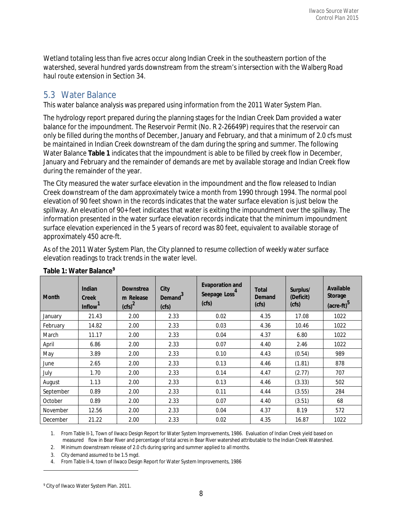Wetland totaling less than five acres occur along Indian Creek in the southeastern portion of the watershed, several hundred yards downstream from the stream's intersection with the Walberg Road haul route extension in Section 34.

# 5.3 Water Balance

This water balance analysis was prepared using information from the 2011 Water System Plan.

The hydrology report prepared during the planning stages for the Indian Creek Dam provided a water balance for the impoundment. The Reservoir Permit (No. R 2‐26649P) requires that the reservoir can only be filled during the months of December, January and February, and that a minimum of 2.0 cfs must be maintained in Indian Creek downstream of the dam during the spring and summer. The following Water Balance **Table 1** indicates that the impoundment is able to be filled by creek flow in December, January and February and the remainder of demands are met by available storage and Indian Creek flow during the remainder of the year.

The City measured the water surface elevation in the impoundment and the flow released to Indian Creek downstream of the dam approximately twice a month from 1990 through 1994. The normal pool elevation of 90 feet shown in the records indicates that the water surface elevation is just below the spillway. An elevation of 90+ feet indicates that water is exiting the impoundment over the spillway. The information presented in the water surface elevation records indicate that the minimum impoundment surface elevation experienced in the 5 years of record was 80 feet, equivalent to available storage of approximately 450 acre‐ft.

As of the 2011 Water System Plan, the City planned to resume collection of weekly water surface elevation readings to track trends in the water level.

| <b>Month</b> | Indian<br>Creek<br><b>Inflow</b> | <b>Downstrea</b><br>m Release<br>$(cfs)^2$ | City<br>Demand <sup>3</sup><br>(cfs) | <b>Evaporation and</b><br>Seepage Loss <sup>4</sup><br>(cfs) | Total<br>Demand<br>(cfs) | Surplus/<br>(Deficit)<br>(cfs) | Available<br>Storage<br>(acre-ft) <sup>5</sup> |
|--------------|----------------------------------|--------------------------------------------|--------------------------------------|--------------------------------------------------------------|--------------------------|--------------------------------|------------------------------------------------|
| January      | 21.43                            | 2.00                                       | 2.33                                 | 0.02                                                         | 4.35                     | 17.08                          | 1022                                           |
| February     | 14.82                            | 2.00                                       | 2.33                                 | 0.03                                                         | 4.36                     | 10.46                          | 1022                                           |
| March        | 11.17                            | 2.00                                       | 2.33                                 | 0.04                                                         | 4.37                     | 6.80                           | 1022                                           |
| April        | 6.86                             | 2.00                                       | 2.33                                 | 0.07                                                         | 4.40                     | 2.46                           | 1022                                           |
| May          | 3.89                             | 2.00                                       | 2.33                                 | 0.10                                                         | 4.43                     | (0.54)                         | 989                                            |
| June         | 2.65                             | 2.00                                       | 2.33                                 | 0.13                                                         | 4.46                     | (1.81)                         | 878                                            |
| July         | 1.70                             | 2.00                                       | 2.33                                 | 0.14                                                         | 4.47                     | (2.77)                         | 707                                            |
| August       | 1.13                             | 2.00                                       | 2.33                                 | 0.13                                                         | 4.46                     | (3.33)                         | 502                                            |
| September    | 0.89                             | 2.00                                       | 2.33                                 | 0.11                                                         | 4.44                     | (3.55)                         | 284                                            |
| October      | 0.89                             | 2.00                                       | 2.33                                 | 0.07                                                         | 4.40                     | (3.51)                         | 68                                             |
| November     | 12.56                            | 2.00                                       | 2.33                                 | 0.04                                                         | 4.37                     | 8.19                           | 572                                            |
| December     | 21.22                            | 2.00                                       | 2.33                                 | 0.02                                                         | 4.35                     | 16.87                          | 1022                                           |

#### **Table 1: Water Balance[9](#page-9-0)**

1. From Table II‐1, Town of Ilwaco Design Report for Water System Improvements, 1986. Evaluation of Indian Creek yield based on measured flow in Bear River and percentage of total acres in Bear River watershed attributable to the Indian Creek Watershed.

2. Minimum downstream release of 2.0 cfs during spring and summer applied to all months.

3. City demand assumed to be 1.5 mgd.

4. From Table II-4, town of Ilwaco Design Report for Water System Improvements, 1986

l

<span id="page-9-0"></span><sup>9</sup> City of Ilwaco Water System Plan. 2011.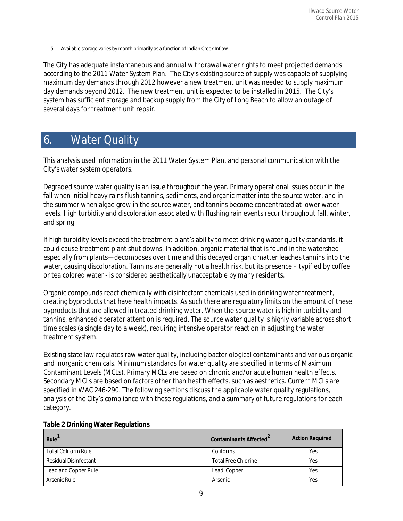5. Available storage varies by month primarily as a function of Indian Creek Inflow.

The City has adequate instantaneous and annual withdrawal water rights to meet projected demands according to the 2011 Water System Plan. The City's existing source of supply was capable of supplying maximum day demands through 2012 however a new treatment unit was needed to supply maximum day demands beyond 2012. The new treatment unit is expected to be installed in 2015. The City's system has sufficient storage and backup supply from the City of Long Beach to allow an outage of several days for treatment unit repair.

# 6. Water Quality

This analysis used information in the 2011 Water System Plan, and personal communication with the City's water system operators.

Degraded source water quality is an issue throughout the year. Primary operational issues occur in the fall when initial heavy rains flush tannins, sediments, and organic matter into the source water, and in the summer when algae grow in the source water, and tannins become concentrated at lower water levels. High turbidity and discoloration associated with flushing rain events recur throughout fall, winter, and spring

If high turbidity levels exceed the treatment plant's ability to meet drinking water quality standards, it could cause treatment plant shut downs. In addition, organic material that is found in the watershed especially from plants—decomposes over time and this decayed organic matter leaches tannins into the water, causing discoloration. Tannins are generally not a health risk, but its presence – typified by coffee or tea colored water ‐ is considered aesthetically unacceptable by many residents.

Organic compounds react chemically with disinfectant chemicals used in drinking water treatment, creating byproducts that have health impacts. As such there are regulatory limits on the amount of these byproducts that are allowed in treated drinking water. When the source water is high in turbidity and tannins, enhanced operator attention is required. The source water quality is highly variable across short time scales (a single day to a week), requiring intensive operator reaction in adjusting the water treatment system.

Existing state law regulates raw water quality, including bacteriological contaminants and various organic and inorganic chemicals. Minimum standards for water quality are specified in terms of Maximum Contaminant Levels (MCLs). Primary MCLs are based on chronic and/or acute human health effects. Secondary MCLs are based on factors other than health effects, such as aesthetics. Current MCLs are specified in WAC 246‐290. The following sections discuss the applicable water quality regulations, analysis of the City's compliance with these regulations, and a summary of future regulations for each category.

| Rule                         | Contaminants Affected      | <b>Action Required</b> |
|------------------------------|----------------------------|------------------------|
| <b>Total Coliform Rule</b>   | Coliforms                  | Yes                    |
| <b>Residual Disinfectant</b> | <b>Total Free Chlorine</b> | Yes                    |
| Lead and Copper Rule         | Lead, Copper               | Yes                    |
| Arsenic Rule                 | Arsenic                    | Yes                    |

#### **Table 2 Drinking Water Regulations**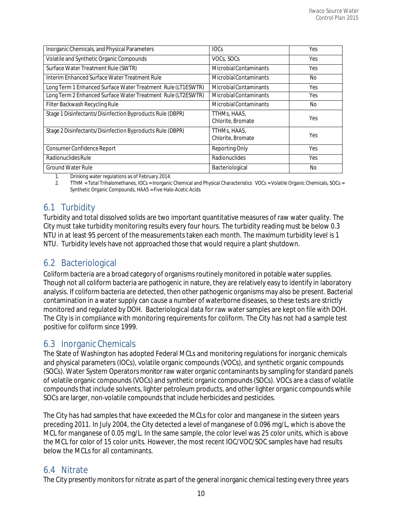| Inorganic Chemicals, and Physical Parameters                 | <b>IOCs</b>                       | Yes  |
|--------------------------------------------------------------|-----------------------------------|------|
| Volatile and Synthetic Organic Compounds                     | VOCs, SOCs                        | Yes  |
| Surface Water Treatment Rule (SWTR)                          | Microbial Contaminants            | Yes  |
| Interim Enhanced Surface Water Treatment Rule                | Microbial Contaminants            | No.  |
| Long Term 1 Enhanced Surface Water Treatment Rule (LT1ESWTR) | <b>Microbial Contaminants</b>     | Yes  |
| Long Term 2 Enhanced Surface Water Treatment Rule (LT2ESWTR) | Microbial Contaminants            | Yes  |
| Filter Backwash Recycling Rule                               | Microbial Contaminants            | No.  |
| Stage 1 Disinfectants/Disinfection Byproducts Rule (DBPR)    | TTHMs, HAA5,<br>Chlorite, Bromate | Yes. |
| Stage 2 Disinfectants/Disinfection Byproducts Rule (DBPR)    | TTHMs, HAA5,<br>Chlorite, Bromate | Yes  |
| Consumer Confidence Report                                   | <b>Reporting Only</b>             | Yes  |
| Radionuclides Rule                                           | Radionuclides                     | Yes  |
| <b>Ground Water Rule</b>                                     | Bacteriological                   | No   |

1. Drinking water regulations as of February 2014.

2. TTHM = Total Trihalomethanes, IOCs = Inorganic Chemical and Physical Characteristics VOCs = Volatile Organic Chemicals, SOCs = Synthetic Organic Compounds, HAA5 = Five Halo‐Acetic Acids

# 6.1 Turbidity

Turbidity and total dissolved solids are two important quantitative measures of raw water quality. The City must take turbidity monitoring results every four hours. The turbidity reading must be below 0.3 NTU in at least 95 percent of the measurements taken each month. The maximum turbidity level is 1 NTU. Turbidity levels have not approached those that would require a plant shutdown.

# 6.2 Bacteriological

Coliform bacteria are a broad category of organisms routinely monitored in potable water supplies. Though not all coliform bacteria are pathogenic in nature, they are relatively easy to identify in laboratory analysis. If coliform bacteria are detected, then other pathogenic organisms may also be present. Bacterial contamination in a water supply can cause a number of waterborne diseases, so these tests are strictly monitored and regulated by DOH. Bacteriological data for raw water samples are kept on file with DOH. The City is in compliance with monitoring requirements for coliform. The City has not had a sample test positive for coliform since 1999.

# 6.3 Inorganic Chemicals

The State of Washington has adopted Federal MCLs and monitoring regulations for inorganic chemicals and physical parameters (IOCs), volatile organic compounds (VOCs), and synthetic organic compounds (SOCs). Water System Operators monitor raw water organic contaminants by sampling for standard panels of volatile organic compounds (VOCs) and synthetic organic compounds (SOCs). VOCs are a class of volatile compounds that include solvents, lighter petroleum products, and other lighter organic compounds while SOCs are larger, non-volatile compounds that include herbicides and pesticides.

The City has had samples that have exceeded the MCLs for color and manganese in the sixteen years preceding 2011. In July 2004, the City detected a level of manganese of 0.096 mg/L, which is above the MCL for manganese of 0.05 mg/L. In the same sample, the color level was 25 color units, which is above the MCL for color of 15 color units. However, the most recent IOC/VOC/SOC samples have had results below the MCLs for all contaminants.

# 6.4 Nitrate

The City presently monitors for nitrate as part of the general inorganic chemical testing every three years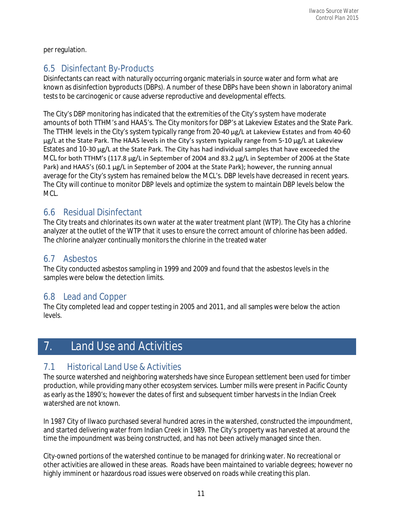per regulation.

# 6.5 Disinfectant By‐Products

Disinfectants can react with naturally occurring organic materials in source water and form what are known as disinfection byproducts (DBPs). A number of these DBPs have been shown in laboratory animal tests to be carcinogenic or cause adverse reproductive and developmental effects.

The City's DBP monitoring has indicated that the extremities of the City's system have moderate amounts of both TTHM's and HAA5's. The City monitors for DBP's at Lakeview Estates and the State Park. The TTHM levels in the City's system typically range from 20‐40 μg/L at Lakeview Estates and from 40‐60 μg/L at the State Park. The HAA5 levels in the City's system typically range from 5‐10 μg/L at Lakeview Estates and 10‐30 μg/L at the State Park. The City has had individual samples that have exceeded the MCL for both TTHM's (117.8 μg/L in September of 2004 and 83.2 μg/L in September of 2006 at the State Park) and HAA5's (60.1 μg/L in September of 2004 at the State Park); however, the running annual average for the City's system has remained below the MCL's. DBP levels have decreased in recent years. The City will continue to monitor DBP levels and optimize the system to maintain DBP levels below the MCL.

# 6.6 Residual Disinfectant

The City treats and chlorinates its own water at the water treatment plant (WTP). The City has a chlorine analyzer at the outlet of the WTP that it uses to ensure the correct amount of chlorine has been added. The chlorine analyzer continually monitors the chlorine in the treated water

# 6.7 Asbestos

The City conducted asbestos sampling in 1999 and 2009 and found that the asbestos levels in the samples were below the detection limits.

# 6.8 Lead and Copper

The City completed lead and copper testing in 2005 and 2011, and all samples were below the action levels.

# 7. Land Use and Activities

# 7.1 Historical Land Use & Activities

The source watershed and neighboring watersheds have since European settlement been used for timber production, while providing many other ecosystem services. Lumber mills were present in Pacific County as early as the 1890's; however the dates of first and subsequent timber harvests in the Indian Creek watershed are not known.

In 1987 City of Ilwaco purchased several hundred acres in the watershed, constructed the impoundment, and started delivering water from Indian Creek in 1989. The City's property was harvested at around the time the impoundment was being constructed, and has not been actively managed since then.

City‐owned portions of the watershed continue to be managed for drinking water. No recreational or other activities are allowed in these areas. Roads have been maintained to variable degrees; however no highly imminent or hazardous road issues were observed on roads while creating this plan.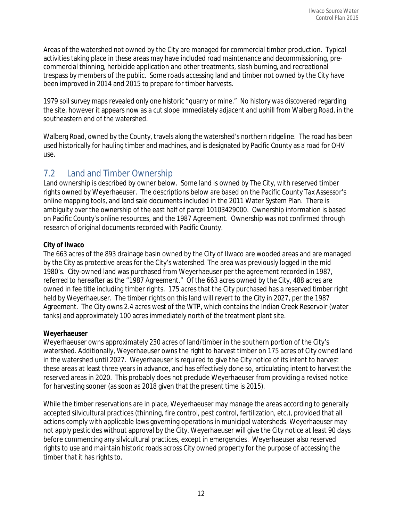Areas of the watershed not owned by the City are managed for commercial timber production. Typical activities taking place in these areas may have included road maintenance and decommissioning, pre‐ commercial thinning, herbicide application and other treatments, slash burning, and recreational trespass by members of the public. Some roads accessing land and timber not owned by the City have been improved in 2014 and 2015 to prepare for timber harvests.

1979 soil survey maps revealed only one historic "quarry or mine." No history was discovered regarding the site, however it appears now as a cut slope immediately adjacent and uphill from Walberg Road, in the southeastern end of the watershed.

Walberg Road, owned by the County, travels along the watershed's northern ridgeline. The road has been used historically for hauling timber and machines, and is designated by Pacific County as a road for OHV use.

### 7.2 Land and Timber Ownership

Land ownership is described by owner below. Some land is owned by The City, with reserved timber rights owned by Weyerhaeuser. The descriptions below are based on the Pacific County Tax Assessor's online mapping tools, and land sale documents included in the 2011 Water System Plan. There is ambiguity over the ownership of the east half of parcel 10103429000. Ownership information is based on Pacific County's online resources, and the 1987 Agreement. Ownership was not confirmed through research of original documents recorded with Pacific County.

#### **City of Ilwaco**

The 663 acres of the 893 drainage basin owned by the City of Ilwaco are wooded areas and are managed by the City as protective areas for the City's watershed. The area was previously logged in the mid 1980's. City-owned land was purchased from Weyerhaeuser per the agreement recorded in 1987, referred to hereafter as the "1987 Agreement." Of the 663 acres owned by the City, 488 acres are owned in fee title including timber rights. 175 acres that the City purchased has a reserved timber right held by Weyerhaeuser. The timber rights on this land will revert to the City in 2027, per the 1987 Agreement. The City owns 2.4 acres west of the WTP, which contains the Indian Creek Reservoir (water tanks) and approximately 100 acres immediately north of the treatment plant site.

#### **Weyerhaeuser**

Weyerhaeuser owns approximately 230 acres of land/timber in the southern portion of the City's watershed. Additionally, Weyerhaeuser owns the right to harvest timber on 175 acres of City owned land in the watershed until 2027. Weyerhaeuser is required to give the City notice of its intent to harvest these areas at least three years in advance, and has effectively done so, articulating intent to harvest the reserved areas in 2020. This probably does not preclude Weyerhaeuser from providing a revised notice for harvesting sooner (as soon as 2018 given that the present time is 2015).

While the timber reservations are in place, Weyerhaeuser may manage the areas according to generally accepted silvicultural practices (thinning, fire control, pest control, fertilization, etc.), provided that all actions comply with applicable laws governing operations in municipal watersheds. Weyerhaeuser may not apply pesticides without approval by the City. Weyerhaeuser will give the City notice at least 90 days before commencing any silvicultural practices, except in emergencies. Weyerhaeuser also reserved rights to use and maintain historic roads across City owned property for the purpose of accessing the timber that it has rights to.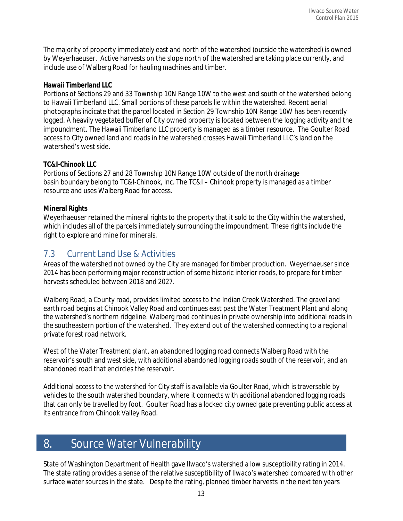The majority of property immediately east and north of the watershed (outside the watershed) is owned by Weyerhaeuser. Active harvests on the slope north of the watershed are taking place currently, and include use of Walberg Road for hauling machines and timber.

#### **Hawaii Timberland LLC**

Portions of Sections 29 and 33 Township 10N Range 10W to the west and south of the watershed belong to Hawaii Timberland LLC. Small portions of these parcels lie within the watershed. Recent aerial photographs indicate that the parcel located in Section 29 Township 10N Range 10W has been recently logged. A heavily vegetated buffer of City owned property is located between the logging activity and the impoundment. The Hawaii Timberland LLC property is managed as a timber resource. The Goulter Road access to City owned land and roads in the watershed crosses Hawaii Timberland LLC's land on the watershed's west side.

#### **TC&I-Chinook LLC**

Portions of Sections 27 and 28 Township 10N Range 10W outside of the north drainage basin boundary belong to TC&I‐Chinook, Inc. The TC&I – Chinook property is managed as a timber resource and uses Walberg Road for access.

#### **Mineral Rights**

Weyerhaeuser retained the mineral rights to the property that it sold to the City within the watershed, which includes all of the parcels immediately surrounding the impoundment. These rights include the right to explore and mine for minerals.

# 7.3 Current Land Use & Activities

Areas of the watershed not owned by the City are managed for timber production. Weyerhaeuser since 2014 has been performing major reconstruction of some historic interior roads, to prepare for timber harvests scheduled between 2018 and 2027.

Walberg Road, a County road, provides limited access to the Indian Creek Watershed. The gravel and earth road begins at Chinook Valley Road and continues east past the Water Treatment Plant and along the watershed's northern ridgeline. Walberg road continues in private ownership into additional roads in the southeastern portion of the watershed. They extend out of the watershed connecting to a regional private forest road network.

West of the Water Treatment plant, an abandoned logging road connects Walberg Road with the reservoir's south and west side, with additional abandoned logging roads south of the reservoir, and an abandoned road that encircles the reservoir.

Additional access to the watershed for City staff is available via Goulter Road, which is traversable by vehicles to the south watershed boundary, where it connects with additional abandoned logging roads that can only be travelled by foot. Goulter Road has a locked city owned gate preventing public access at its entrance from Chinook Valley Road.

# 8. Source Water Vulnerability

State of Washington Department of Health gave Ilwaco's watershed a low susceptibility rating in 2014. The state rating provides a sense of the relative susceptibility of Ilwaco's watershed compared with other surface water sources in the state. Despite the rating, planned timber harvests in the next ten years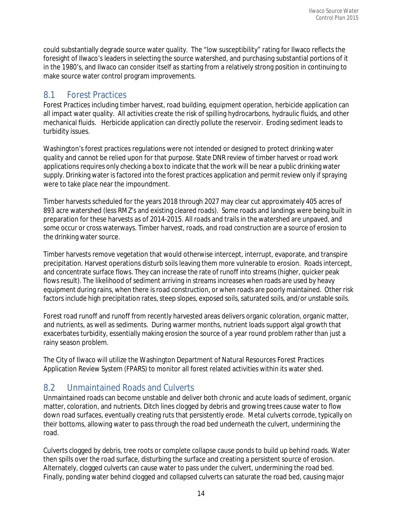could substantially degrade source water quality. The "low susceptibility" rating for Ilwaco reflects the foresight of Ilwaco's leaders in selecting the source watershed, and purchasing substantial portions of it in the 1980's, and Ilwaco can consider itself as starting from a relatively strong position in continuing to make source water control program improvements.

# 8.1 Forest Practices

Forest Practices including timber harvest, road building, equipment operation, herbicide application can all impact water quality. All activities create the risk of spilling hydrocarbons, hydraulic fluids, and other mechanical fluids. Herbicide application can directly pollute the reservoir. Eroding sediment leads to turbidity issues.

Washington's forest practices regulations were not intended or designed to protect drinking water quality and cannot be relied upon for that purpose. State DNR review of timber harvest or road work applications requires only checking a box to indicate that the work will be near a public drinking water supply. Drinking water is factored into the forest practices application and permit review only if spraying were to take place near the impoundment.

Timber harvests scheduled for the years 2018 through 2027 may clear cut approximately 405 acres of 893 acre watershed (less RMZ's and existing cleared roads). Some roads and landings were being built in preparation for these harvests as of 2014‐2015. All roads and trails in the watershed are unpaved, and some occur or cross waterways. Timber harvest, roads, and road construction are a source of erosion to the drinking water source.

Timber harvests remove vegetation that would otherwise intercept, interrupt, evaporate, and transpire precipitation. Harvest operations disturb soils leaving them more vulnerable to erosion. Roads intercept, and concentrate surface flows. They can increase the rate of runoff into streams (higher, quicker peak flows result). The likelihood of sediment arriving in streams increases when roads are used by heavy equipment during rains, when there is road construction, or when roads are poorly maintained. Other risk factors include high precipitation rates, steep slopes, exposed soils, saturated soils, and/or unstable soils.

Forest road runoff and runoff from recently harvested areas delivers organic coloration, organic matter, and nutrients, as well as sediments. During warmer months, nutrient loads support algal growth that exacerbates turbidity, essentially making erosion the source of a year round problem rather than just a rainy season problem.

The City of Ilwaco will utilize the Washington Department of Natural Resources Forest Practices Application Review System (FPARS) to monitor all forest related activities within its water shed.

# 8.2 Unmaintained Roads and Culverts

Unmaintained roads can become unstable and deliver both chronic and acute loads of sediment, organic matter, coloration, and nutrients. Ditch lines clogged by debris and growing trees cause water to flow down road surfaces, eventually creating ruts that persistently erode. Metal culverts corrode, typically on their bottoms, allowing water to pass through the road bed underneath the culvert, undermining the road.

Culverts clogged by debris, tree roots or complete collapse cause ponds to build up behind roads. Water then spills over the road surface, disturbing the surface and creating a persistent source of erosion. Alternately, clogged culverts can cause water to pass under the culvert, undermining the road bed. Finally, ponding water behind clogged and collapsed culverts can saturate the road bed, causing major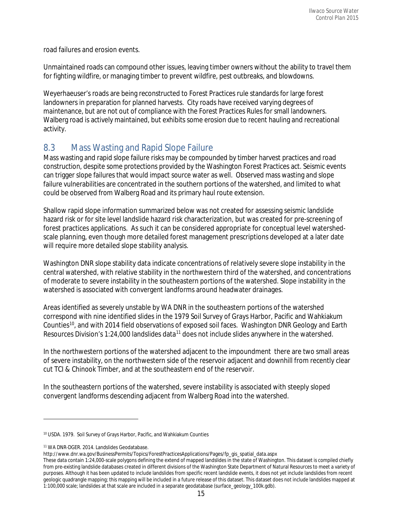road failures and erosion events.

Unmaintained roads can compound other issues, leaving timber owners without the ability to travel them for fighting wildfire, or managing timber to prevent wildfire, pest outbreaks, and blowdowns.

Weyerhaeuser's roads are being reconstructed to Forest Practices rule standards for large forest landowners in preparation for planned harvests. City roads have received varying degrees of maintenance, but are not out of compliance with the Forest Practices Rules for small landowners. Walberg road is actively maintained, but exhibits some erosion due to recent hauling and recreational activity.

# 8.3 Mass Wasting and Rapid Slope Failure

Mass wasting and rapid slope failure risks may be compounded by timber harvest practices and road construction, despite some protections provided by the Washington Forest Practices act. Seismic events can trigger slope failures that would impact source water as well. Observed mass wasting and slope failure vulnerabilities are concentrated in the southern portions of the watershed, and limited to what could be observed from Walberg Road and its primary haul route extension.

Shallow rapid slope information summarized below was not created for assessing seismic landslide hazard risk or for site level landslide hazard risk characterization, but was created for pre‐screening of forest practices applications. As such it can be considered appropriate for conceptual level watershedscale planning, even though more detailed forest management prescriptions developed at a later date will require more detailed slope stability analysis.

Washington DNR slope stability data indicate concentrations of relatively severe slope instability in the central watershed, with relative stability in the northwestern third of the watershed, and concentrations of moderate to severe instability in the southeastern portions of the watershed. Slope instability in the watershed is associated with convergent landforms around headwater drainages.

Areas identified as severely unstable by WA DNR in the southeastern portions of the watershed correspond with nine identified slides in the 1979 Soil Survey of Grays Harbor, Pacific and Wahkiakum Counties<sup>10</sup>, and with 2014 field observations of exposed soil faces. Washington DNR Geology and Earth Resources Division's 1:24,000 landslides data<sup>[11](#page-16-1)</sup> does not include slides anywhere in the watershed.

In the northwestern portions of the watershed adjacent to the impoundment there are two small areas of severe instability, on the northwestern side of the reservoir adjacent and downhill from recently clear cut TCI & Chinook Timber, and at the southeastern end of the reservoir.

In the southeastern portions of the watershed, severe instability is associated with steeply sloped convergent landforms descending adjacent from Walberg Road into the watershed.

l

<span id="page-16-0"></span><sup>10</sup> USDA. 1979. Soil Survey of Grays Harbor, Pacific, and Wahkiakum Counties

<span id="page-16-1"></span><sup>11</sup> WA DNR‐DGER. 2014. Landslides Geodatabase.

[http://www.dnr.wa.gov/BusinessPermits/Topics/ForestPracticesApplications/Pages/fp\\_gis\\_spatial\\_data.aspx](http://www.dnr.wa.gov/BusinessPermits/Topics/ForestPracticesApplications/Pages/fp_gis_spatial_data.aspx) 

These data contain 1:24,000-scale polygons defining the extend of mapped landslides in the state of Washington. This dataset is compiled chiefly from pre-existing landslide databases created in different divisions of the Washington State Department of Natural Resources to meet a variety of purposes. Although it has been updated to include landslides from specific recent landslide events, it does not yet include landslides from recent geologic quadrangle mapping; this mapping will be included in a future release of this dataset. This dataset does not include landslides mapped at 1:100,000 scale; landslides at that scale are included in a separate geodatabase (surface\_geology\_100k.gdb).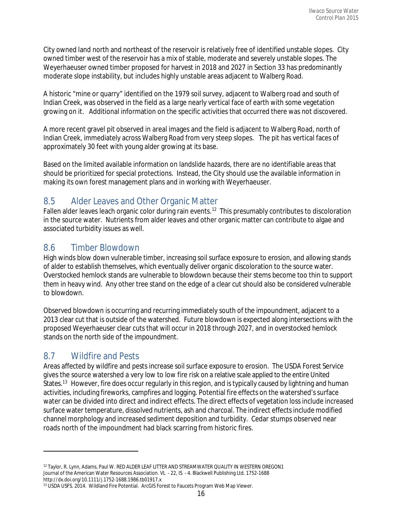City owned land north and northeast of the reservoir is relatively free of identified unstable slopes. City owned timber west of the reservoir has a mix of stable, moderate and severely unstable slopes. The Weyerhaeuser owned timber proposed for harvest in 2018 and 2027 in Section 33 has predominantly moderate slope instability, but includes highly unstable areas adjacent to Walberg Road.

A historic "mine or quarry" identified on the 1979 soil survey, adjacent to Walberg road and south of Indian Creek, was observed in the field as a large nearly vertical face of earth with some vegetation growing on it. Additional information on the specific activities that occurred there was not discovered.

A more recent gravel pit observed in areal images and the field is adjacent to Walberg Road, north of Indian Creek, immediately across Walberg Road from very steep slopes. The pit has vertical faces of approximately 30 feet with young alder growing at its base.

Based on the limited available information on landslide hazards, there are no identifiable areas that should be prioritized for special protections. Instead, the City should use the available information in making its own forest management plans and in working with Weyerhaeuser.

# 8.5 Alder Leaves and Other Organic Matter

Fallen alder leaves leach organic color during rain events.<sup>[12](#page-17-0)</sup> This presumably contributes to discoloration in the source water. Nutrients from alder leaves and other organic matter can contribute to algae and associated turbidity issues as well.

# 8.6 Timber Blowdown

High winds blow down vulnerable timber, increasing soil surface exposure to erosion, and allowing stands of alder to establish themselves, which eventually deliver organic discoloration to the source water. Overstocked hemlock stands are vulnerable to blowdown because their stems become too thin to support them in heavy wind. Any other tree stand on the edge of a clear cut should also be considered vulnerable to blowdown.

Observed blowdown is occurring and recurring immediately south of the impoundment, adjacent to a 2013 clear cut that is outside of the watershed. Future blowdown is expected along intersections with the proposed Weyerhaeuser clear cuts that will occur in 2018 through 2027, and in overstocked hemlock stands on the north side of the impoundment.

# 8.7 Wildfire and Pests

l

Areas affected by wildfire and pests increase soil surface exposure to erosion. The USDA Forest Service gives the source watershed a very low to low fire risk on a relative scale applied to the entire United States.<sup>[13](#page-17-1)</sup> However, fire does occur regularly in this region, and is typically caused by lightning and human activities, including fireworks, campfires and logging. Potential fire effects on the watershed's surface water can be divided into direct and indirect effects. The direct effects of vegetation loss include increased surface water temperature, dissolved nutrients, ash and charcoal. The indirect effects include modified channel morphology and increased sediment deposition and turbidity. Cedar stumps observed near roads north of the impoundment had black scarring from historic fires.

<span id="page-17-0"></span><sup>&</sup>lt;sup>12</sup> Taylor, R. Lynn, Adams, Paul W. RED ALDER LEAF LITTER AND STREAMWATER QUALITY IN WESTERN OREGON1 Journal of the American Water Resources Association. VL ‐ 22, IS ‐ 4. Blackwell Publishing Ltd. 1752‐1688 http://dx.doi.org/10.1111/j.1752‐1688.1986.tb01917.x

<span id="page-17-1"></span><sup>13</sup> USDA USFS. 2014. Wildland Fire Potential. ArcGIS Forest to Faucets Program Web Map Viewer.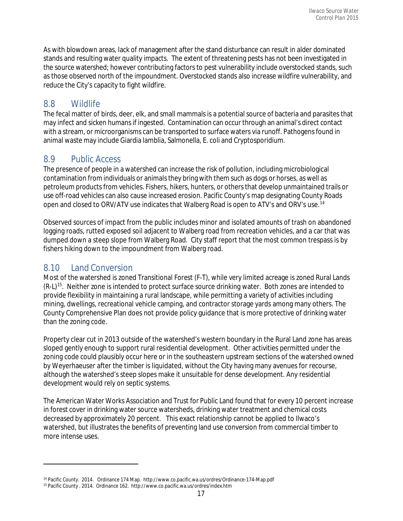As with blowdown areas, lack of management after the stand disturbance can result in alder dominated stands and resulting water quality impacts. The extent of threatening pests has not been investigated in the source watershed; however contributing factors to pest vulnerability include overstocked stands, such as those observed north of the impoundment. Overstocked stands also increase wildfire vulnerability, and reduce the City's capacity to fight wildfire.

# 8.8 Wildlife

The fecal matter of birds, deer, elk, and small mammals is a potential source of bacteria and parasites that may infect and sicken humans if ingested. Contamination can occur through an animal's direct contact with a stream, or microorganisms can be transported to surface waters via runoff. Pathogens found in animal waste may include Giardia lamblia, Salmonella, E. coli and Cryptosporidium.

# 8.9 Public Access

The presence of people in a watershed can increase the risk of pollution, including microbiological contamination from individuals or animals they bring with them such as dogs or horses, as well as petroleum products from vehicles. Fishers, hikers, hunters, or others that develop unmaintained trails or use off-road vehicles can also cause increased erosion. Pacific County's map designating County Roads open and closed to ORV/ATV use indicates that Walberg Road is open to ATV's and ORV's use.<sup>[14](#page-18-0)</sup>

Observed sources of impact from the public includes minor and isolated amounts of trash on abandoned logging roads, rutted exposed soil adjacent to Walberg road from recreation vehicles, and a car that was dumped down a steep slope from Walberg Road. City staff report that the most common trespass is by fishers hiking down to the impoundment from Walberg road.

# 8.10 Land Conversion

 $\overline{\phantom{a}}$ 

Most of the watershed is zoned Transitional Forest (F‐T), while very limited acreage is zoned Rural Lands (R‐L)[15](#page-18-1). Neither zone is intended to protect surface source drinking water. Both zones are intended to provide flexibility in maintaining a rural landscape, while permitting a variety of activities including mining, dwellings, recreational vehicle camping, and contractor storage yards among many others. The County Comprehensive Plan does not provide policy guidance that is more protective of drinking water than the zoning code.

Property clear cut in 2013 outside of the watershed's western boundary in the Rural Land zone has areas sloped gently enough to support rural residential development. Other activities permitted under the zoning code could plausibly occur here or in the southeastern upstream sections of the watershed owned by Weyerhaeuser after the timber is liquidated, without the City having many avenues for recourse, although the watershed's steep slopes make it unsuitable for dense development. Any residential development would rely on septic systems.

The American Water Works Association and Trust for Public Land found that for every 10 percent increase in forest cover in drinking water source watersheds, drinking water treatment and chemical costs decreased by approximately 20 percent. This exact relationship cannot be applied to Ilwaco's watershed, but illustrates the benefits of preventing land use conversion from commercial timber to more intense uses.

<span id="page-18-0"></span><sup>14</sup> Pacific County. 2014. Ordinance 174 Map. http://www.co.pacific.wa.us/ordres/Ordinance‐174‐Map.pdf

<span id="page-18-1"></span><sup>15</sup> Pacific County . 2014. Ordinance 162. http://www.co.pacific.wa.us/ordres/index.htm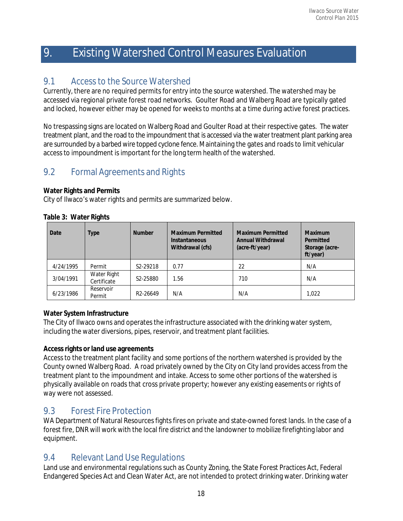# 9. Existing Watershed Control Measures Evaluation

# 9.1 Access to the Source Watershed

Currently, there are no required permits for entry into the source watershed. The watershed may be accessed via regional private forest road networks. Goulter Road and Walberg Road are typically gated and locked, however either may be opened for weeks to months at a time during active forest practices.

No trespassing signs are located on Walberg Road and Goulter Road at their respective gates. The water treatment plant, and the road to the impoundment that is accessed via the water treatment plant parking area are surrounded by a barbed wire topped cyclone fence. Maintaining the gates and roads to limit vehicular access to impoundment is important for the long term health of the watershed.

# 9.2 Formal Agreements and Rights

#### **Water Rights and Permits**

City of Ilwaco's water rights and permits are summarized below.

| Date      | Type                       | <b>Number</b>         | <b>Maximum Permitted</b><br><b>Instantaneous</b><br>Withdrawal (cfs) | <b>Maximum Permitted</b><br><b>Annual Withdrawal</b><br>(acre-ft/year) | <b>Maximum</b><br>Permitted<br>Storage (acre-<br>ft/year) |
|-----------|----------------------------|-----------------------|----------------------------------------------------------------------|------------------------------------------------------------------------|-----------------------------------------------------------|
| 4/24/1995 | Permit                     | S <sub>2</sub> -29218 | 0.77                                                                 | 22                                                                     | N/A                                                       |
| 3/04/1991 | Water Right<br>Certificate | S <sub>2</sub> -25880 | 1.56                                                                 | 710                                                                    | N/A                                                       |
| 6/23/1986 | Reservoir<br>Permit        | R <sub>2</sub> -26649 | N/A                                                                  | N/A                                                                    | 1.022                                                     |

#### **Table 3: Water Rights**

#### **Water System Infrastructure**

The City of Ilwaco owns and operates the infrastructure associated with the drinking water system, including the water diversions, pipes, reservoir, and treatment plant facilities.

#### **Accessrights or land use agreements**

Accessto the treatment plant facility and some portions of the northern watershed is provided by the County owned Walberg Road. A road privately owned by the City on City land provides access from the treatment plant to the impoundment and intake. Access to some other portions of the watershed is physically available on roads that cross private property; however any existing easements or rights of way were not assessed.

# 9.3 Forest Fire Protection

WA Department of Natural Resources fights fires on private and state-owned forest lands. In the case of a forest fire, DNR will work with the local fire district and the landowner to mobilize firefighting labor and equipment.

# 9.4 Relevant Land Use Regulations

Land use and environmental regulations such as County Zoning, the State Forest Practices Act, Federal Endangered Species Act and Clean Water Act, are not intended to protect drinking water. Drinking water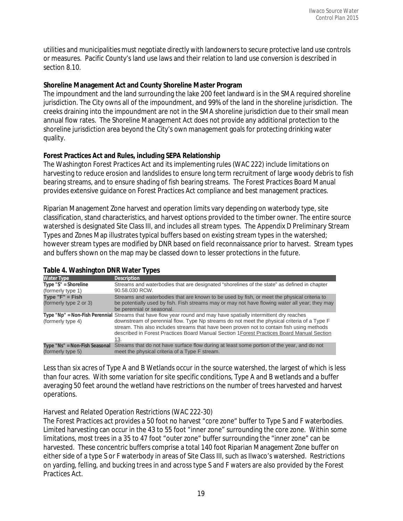utilities and municipalities must negotiate directly with landowners to secure protective land use controls or measures. Pacific County's land use laws and their relation to land use conversion is described in section 8.10.

#### **Shoreline Management Act and County Shoreline Master Program**

The impoundment and the land surrounding the lake 200 feet landward is in the SMA required shoreline jurisdiction. The City owns all of the impoundment, and 99% of the land in the shoreline jurisdiction. The creeks draining into the impoundment are not in the SMA shoreline jurisdiction due to their small mean annual flow rates. The Shoreline Management Act does not provide any additional protection to the shoreline jurisdiction area beyond the City's own management goals for protecting drinking water quality.

#### **Forest Practices Act and Rules, including SEPA Relationship**

The Washington Forest Practices Act and its implementing rules (WAC 222) include limitations on harvesting to reduce erosion and landslides to ensure long term recruitment of large woody debris to fish bearing streams, and to ensure shading of fish bearing streams. The Forest Practices Board Manual provides extensive guidance on Forest Practices Act compliance and best management practices.

Riparian Management Zone harvest and operation limits vary depending on waterbody type, site classification, stand characteristics, and harvest options provided to the timber owner. The entire source watershed is designated Site Class III, and includes all stream types. The Appendix D Preliminary Stream Types and Zones Map illustrates typical buffers based on existing stream types in the watershed; however stream types are modified by DNR based on field reconnaissance prior to harvest. Stream types and buffers shown on the map may be classed down to lesser protections in the future.

| <b>Water Type</b>                                  | <b>Description</b>                                                                                                                                                                                                                                                                                                                                                                                                 |
|----------------------------------------------------|--------------------------------------------------------------------------------------------------------------------------------------------------------------------------------------------------------------------------------------------------------------------------------------------------------------------------------------------------------------------------------------------------------------------|
| $Type "S" = Shorteline$                            | Streams and waterbodies that are designated "shorelines of the state" as defined in chapter                                                                                                                                                                                                                                                                                                                        |
| (formerly type 1)                                  | 90.58.030 RCW.                                                                                                                                                                                                                                                                                                                                                                                                     |
| Type $"F" = Fish$                                  | Streams and waterbodies that are known to be used by fish, or meet the physical criteria to                                                                                                                                                                                                                                                                                                                        |
| (formerly type 2 or 3)                             | be potentially used by fish. Fish streams may or may not have flowing water all year; they may<br>be perennial or seasonal.                                                                                                                                                                                                                                                                                        |
| (formerly type 4)                                  | Type "Np" = Non-Fish Perennial Streams that have flow year round and may have spatially intermittent dry reaches<br>downstream of perennial flow. Type Np streams do not meet the physical criteria of a Type F<br>stream. This also includes streams that have been proven not to contain fish using methods<br>described in Forest Practices Board Manual Section 1 Forest Practices Board Manual Section<br>13. |
| Type "Ns" = Non-Fish Seasonal<br>(formerly type 5) | Streams that do not have surface flow during at least some portion of the year, and do not<br>meet the physical criteria of a Type F stream.                                                                                                                                                                                                                                                                       |

#### **Table 4. Washington DNR Water Types**

Less than six acres of Type A and B Wetlands occur in the source watershed, the largest of which is less than four acres. With some variation for site specific conditions, Type A and B wetlands and a buffer averaging 50 feet around the wetland have restrictions on the number of trees harvested and harvest operations.

#### *Harvest and Related Operation Restrictions (WAC 222-30)*

The Forest Practices act provides a 50 foot no harvest "core zone" buffer to Type S and F waterbodies. Limited harvesting can occur in the 43 to 55 foot "inner zone" surrounding the core zone. Within some limitations, most trees in a 35 to 47 foot "outer zone" buffer surrounding the "inner zone" can be harvested. These concentric buffers comprise a total 140 foot Riparian Management Zone buffer on either side of a type S or F waterbody in areas of Site Class III, such as Ilwaco's watershed. Restrictions on yarding, felling, and bucking trees in and across type S and F waters are also provided by the Forest Practices Act.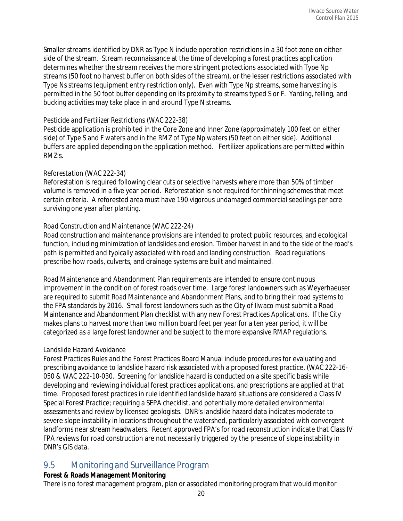Smaller streams identified by DNR as Type N include operation restrictions in a 30 foot zone on either side of the stream. Stream reconnaissance at the time of developing a forest practices application determines whether the stream receives the more stringent protections associated with Type Np streams (50 foot no harvest buffer on both sides of the stream), or the lesser restrictions associated with Type Ns streams (equipment entry restriction only). Even with Type Np streams, some harvesting is permitted in the 50 foot buffer depending on its proximity to streams typed S or F. Yarding, felling, and bucking activities may take place in and around Type N streams.

#### *Pesticide and Fertilizer Restrictions (WAC 222-38)*

Pesticide application is prohibited in the Core Zone and Inner Zone (approximately 100 feet on either side) of Type S and F waters and in the RMZ of Type Np waters (50 feet on either side). Additional buffers are applied depending on the application method. Fertilizer applications are permitted within RMZ's.

#### *Reforestation (WAC 222-34)*

Reforestation is required following clear cuts or selective harvests where more than 50% of timber volume is removed in a five year period. Reforestation is not required for thinning schemes that meet certain criteria. A reforested area must have 190 vigorous undamaged commercial seedlings per acre surviving one year after planting.

#### *Road Construction and Maintenance (WAC 222-24)*

Road construction and maintenance provisions are intended to protect public resources, and ecological function, including minimization of landslides and erosion. Timber harvest in and to the side of the road's path is permitted and typically associated with road and landing construction. Road regulations prescribe how roads, culverts, and drainage systems are built and maintained.

Road Maintenance and Abandonment Plan requirements are intended to ensure continuous improvement in the condition of forest roads over time. Large forest landowners such as Weyerhaeuser are required to submit Road Maintenance and Abandonment Plans, and to bring their road systems to the FPA standards by 2016. Small forest landowners such as the City of Ilwaco must submit a Road Maintenance and Abandonment Plan checklist with any new Forest Practices Applications. If the City makes plans to harvest more than two million board feet per year for a ten year period, it will be categorized as a large forest landowner and be subject to the more expansive RMAP regulations.

#### *Landslide Hazard Avoidance*

Forest Practices Rules and the Forest Practices Board Manual include procedures for evaluating and prescribing avoidance to landslide hazard risk associated with a proposed forest practice, (WAC 222‐16‐ 050 & WAC 222-10-030. Screening for landslide hazard is conducted on a site specific basis while developing and reviewing individual forest practices applications, and prescriptions are applied at that time. Proposed forest practices in rule identified landslide hazard situations are considered a Class IV Special Forest Practice; requiring a SEPA checklist, and potentially more detailed environmental assessments and review by licensed geologists. DNR's landslide hazard data indicates moderate to severe slope instability in locations throughout the watershed, particularly associated with convergent landforms near stream headwaters. Recent approved FPA's for road reconstruction indicate that Class IV FPA reviews for road construction are not necessarily triggered by the presence of slope instability in DNR's GIS data.

# 9.5 Monitoring and Surveillance Program

#### **Forest & Roads Management Monitoring**

There is no forest management program, plan or associated monitoring program that would monitor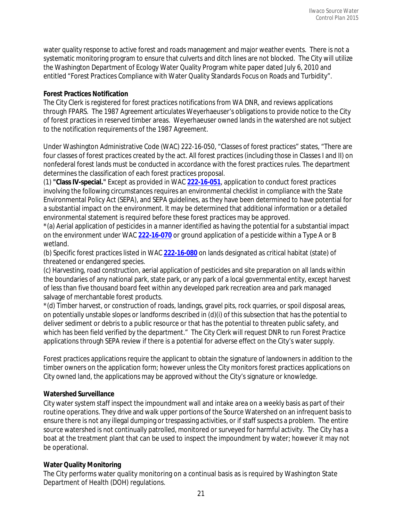water quality response to active forest and roads management and major weather events. There is not a systematic monitoring program to ensure that culverts and ditch lines are not blocked. The City will utilize the Washington Department of Ecology Water Quality Program white paper dated July 6, 2010 and entitled "Forest Practices Compliance with Water Quality Standards Focus on Roads and Turbidity".

#### **Forest Practices Notification**

The City Clerk is registered for forest practices notifications from WA DNR, and reviews applications through FPARS. The 1987 Agreement articulates Weyerhaeuser's obligations to provide notice to the City of forest practices in reserved timber areas. Weyerhaeuser owned lands in the watershed are not subject to the notification requirements of the 1987 Agreement.

Under Washington Administrative Code (WAC) 222‐16‐050, "Classes of forest practices" states, "There are four classes of forest practices created by the act. All forest practices (including those in Classes I and II) on nonfederal forest lands must be conducted in accordance with the forest practices rules. The department determines the classification of each forest practices proposal.

(1) **"Class IV-special."** Except as provided in WAC **[222-16-051](http://apps.leg.wa.gov/wac/default.aspx?cite=222-16-051)**, application to conduct forest practices involving the following circumstances requires an environmental checklist in compliance with the State Environmental Policy Act (SEPA), and SEPA guidelines, as they have been determined to have potential for a substantial impact on the environment. It may be determined that additional information or a detailed environmental statement is required before these forest practices may be approved.

\*(a) Aerial application of pesticides in a manner identified as having the potential for a substantial impact on the environment under WAC **[222-16-070](http://apps.leg.wa.gov/wac/default.aspx?cite=222-16-070)** or ground application of a pesticide within a Type A or B wetland.

(b) Specific forest practices listed in WAC **[222-16-080](http://apps.leg.wa.gov/wac/default.aspx?cite=222-16-080)** on lands designated as critical habitat (state) of threatened or endangered species.

(c) Harvesting, road construction, aerial application of pesticides and site preparation on all lands within the boundaries of any national park, state park, or any park of a local governmental entity, except harvest of less than five thousand board feet within any developed park recreation area and park managed salvage of merchantable forest products.

\*(d) Timber harvest, or construction of roads, landings, gravel pits, rock quarries, or spoil disposal areas, on potentially unstable slopes or landforms described in (d)(i) of this subsection that has the potential to deliver sediment or debris to a public resource or that has the potential to threaten public safety, and which has been field verified by the department." The City Clerk will request DNR to run Forest Practice applications through SEPA review if there is a potential for adverse effect on the City's water supply.

Forest practices applications require the applicant to obtain the signature of landowners in addition to the timber owners on the application form; however unless the City monitors forest practices applications on City owned land, the applications may be approved without the City's signature or knowledge.

#### **Watershed Surveillance**

City water system staff inspect the impoundment wall and intake area on a weekly basis as part of their routine operations. They drive and walk upper portions of the Source Watershed on an infrequent basis to ensure there is not any illegal dumping or trespassing activities, or if staff suspects a problem. The entire source watershed is not continually patrolled, monitored or surveyed for harmful activity. The City has a boat at the treatment plant that can be used to inspect the impoundment by water; however it may not be operational.

#### **Water Quality Monitoring**

The City performs water quality monitoring on a continual basis as is required by Washington State Department of Health (DOH) regulations.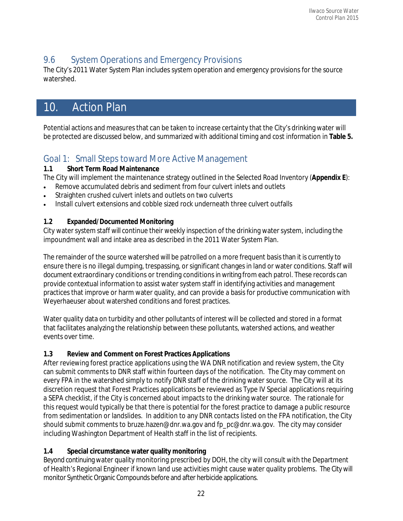# 9.6 System Operations and Emergency Provisions

The City's 2011 Water System Plan includes system operation and emergency provisions for the source watershed.

# 10. Action Plan

Potential actions and measures that can be taken to increase certainty that the City's drinking water will be protected are discussed below, and summarized with additional timing and cost information in **Table 5.**

# Goal 1: Small Steps toward More Active Management

#### **1.1 Short Term Road Maintenance**

The City will implement the maintenance strategy outlined in the Selected Road Inventory (**Appendix E**):

- Remove accumulated debris and sediment from four culvert inlets and outlets
- Straighten crushed culvert inlets and outlets on two culverts
- Install culvert extensions and cobble sized rock underneath three culvert outfalls

### **1.2 Expanded/Documented Monitoring**

City water system staff will continue their weekly inspection of the drinking water system, including the impoundment wall and intake area as described in the 2011 Water System Plan.

The remainder of the source watershed will be patrolled on a more frequent basisthan it is currently to ensure there is no illegal dumping, trespassing, or significant changes in land or water conditions. Staff will document extraordinary conditions or trending conditions in writing from each patrol. These records can provide contextual information to assist water system staff in identifying activities and management practices that improve or harm water quality, and can provide a basis for productive communication with Weyerhaeuser about watershed conditions and forest practices.

Water quality data on turbidity and other pollutants of interest will be collected and stored in a format that facilitates analyzing the relationship between these pollutants, watershed actions, and weather events over time.

### **1.3 Review and Comment on Forest Practices Applications**

After reviewing forest practice applications using the WA DNR notification and review system, the City can submit comments to DNR staff within fourteen days of the notification. The City may comment on every FPA in the watershed simply to notify DNR staff of the drinking water source. The City will at its discretion request that Forest Practices applications be reviewed as Type IV Special applications requiring a SEPA checklist, if the City is concerned about impacts to the drinking water source. The rationale for this request would typically be that there is potential for the forest practice to damage a public resource from sedimentation or landslides. In addition to any DNR contacts listed on the FPA notification, the City should submit comments t[o bruze.hazen@dnr.wa.gov](mailto:bruze.hazen@dnr.wa.gov) and [fp\\_pc@dnr.wa.gov.](mailto:fp_pc@dnr.wa.gov) The city may consider including Washington Department of Health staff in the list of recipients.

### **1.4 Special circumstance water quality monitoring**

Beyond continuing water quality monitoring prescribed by DOH, the city will consult with the Department of Health's Regional Engineer if known land use activities might cause water quality problems. The City will monitor Synthetic Organic Compounds before and after herbicide applications.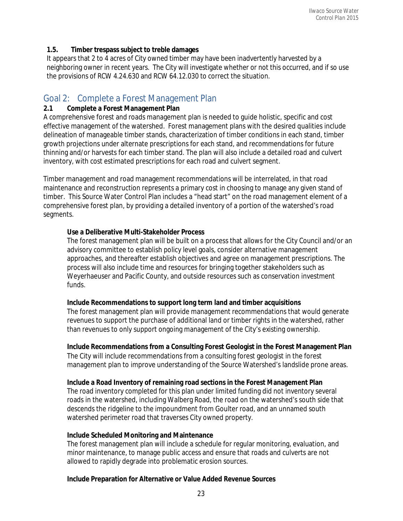#### **1.5. Timber trespass subject to treble damages**

It appears that 2 to 4 acres of City owned timber may have been inadvertently harvested by a neighboring owner in recent years. The City will investigate whether or not this occurred, and if so use the provisions of RCW 4.24.630 and RCW 64.12.030 to correct the situation.

# Goal 2: Complete a Forest Management Plan

#### **2.1 Complete a Forest Management Plan**

A comprehensive forest and roads management plan is needed to guide holistic, specific and cost effective management of the watershed. Forest management plans with the desired qualities include delineation of manageable timber stands, characterization of timber conditions in each stand, timber growth projections under alternate prescriptions for each stand, and recommendations for future thinning and/or harvests for each timber stand. The plan will also include a detailed road and culvert inventory, with cost estimated prescriptions for each road and culvert segment.

Timber management and road management recommendations will be interrelated, in that road maintenance and reconstruction represents a primary cost in choosing to manage any given stand of timber. This Source Water Control Plan includes a "head start" on the road management element of a comprehensive forest plan, by providing a detailed inventory of a portion of the watershed's road segments.

#### **Use a Deliberative Multi-Stakeholder Process**

The forest management plan will be built on a process that allows for the City Council and/or an advisory committee to establish policy level goals, consider alternative management approaches, and thereafter establish objectives and agree on management prescriptions. The process will also include time and resources for bringing together stakeholders such as Weyerhaeuser and Pacific County, and outside resources such as conservation investment funds.

#### **Include Recommendations to support long term land and timber acquisitions**

The forest management plan will provide management recommendations that would generate revenues to support the purchase of additional land or timber rights in the watershed, rather than revenues to only support ongoing management of the City's existing ownership.

**Include Recommendations from a Consulting Forest Geologist in the Forest Management Plan**  The City will include recommendations from a consulting forest geologist in the forest

management plan to improve understanding of the Source Watershed's landslide prone areas.

**Include a Road Inventory of remaining road sections in the Forest Management Plan**

The road inventory completed for this plan under limited funding did not inventory several roads in the watershed, including Walberg Road, the road on the watershed's south side that descends the ridgeline to the impoundment from Goulter road, and an unnamed south watershed perimeter road that traverses City owned property.

#### **Include Scheduled Monitoring and Maintenance**

The forest management plan will include a schedule for regular monitoring, evaluation, and minor maintenance, to manage public access and ensure that roads and culverts are not allowed to rapidly degrade into problematic erosion sources.

#### **Include Preparation for Alternative or Value Added Revenue Sources**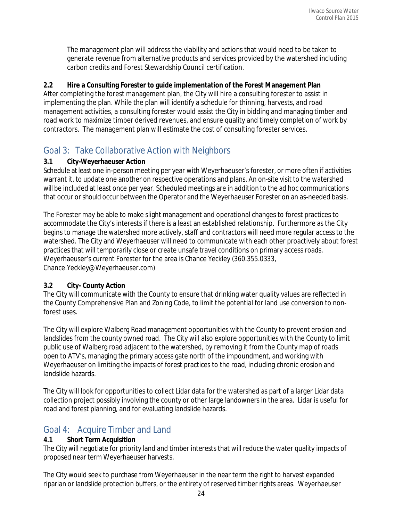The management plan will address the viability and actions that would need to be taken to generate revenue from alternative products and services provided by the watershed including carbon credits and Forest Stewardship Council certification.

#### **2.2 Hire a Consulting Forester to guide implementation of the Forest Management Plan**

After completing the forest management plan, the City will hire a consulting forester to assist in implementing the plan. While the plan will identify a schedule for thinning, harvests, and road management activities, a consulting forester would assist the City in bidding and managing timber and road work to maximize timber derived revenues, and ensure quality and timely completion of work by contractors. The management plan will estimate the cost of consulting forester services.

# Goal 3: Take Collaborative Action with Neighbors

#### **3.1 City-Weyerhaeuser Action**

Schedule at least one in-person meeting per year with Weyerhaeuser's forester, or more often if activities warrant it, to update one another on respective operations and plans. An on-site visit to the watershed will be included at least once per year. Scheduled meetings are in addition to the ad hoc communications that occur or should occur between the Operator and the Weyerhaeuser Forester on an as-needed basis.

The Forester may be able to make slight management and operational changes to forest practices to accommodate the City's interests if there is a least an established relationship. Furthermore as the City begins to manage the watershed more actively, staff and contractors will need more regular access to the watershed. The City and Weyerhaeuser will need to communicate with each other proactively about forest practices that will temporarily close or create unsafe travel conditions on primary access roads. Weyerhaeuser's current Forester for the area is Chance Yeckley (360.355.0333, Chance.Yeckley@Weyerhaeuser.com)

#### **3.2 City- County Action**

The City will communicate with the County to ensure that drinking water quality values are reflected in the County Comprehensive Plan and Zoning Code, to limit the potential for land use conversion to non‐ forest uses.

The City will explore Walberg Road management opportunities with the County to prevent erosion and landslides from the county owned road. The City will also explore opportunities with the County to limit public use of Walberg road adjacent to the watershed, by removing it from the County map of roads open to ATV's, managing the primary access gate north of the impoundment, and working with Weyerhaeuser on limiting the impacts of forest practices to the road, including chronic erosion and landslide hazards.

The City will look for opportunities to collect Lidar data for the watershed as part of a larger Lidar data collection project possibly involving the county or other large landowners in the area. Lidar is useful for road and forest planning, and for evaluating landslide hazards.

# Goal 4: Acquire Timber and Land

#### **4.1 Short Term Acquisition**

The City will negotiate for priority land and timber interests that will reduce the water quality impacts of proposed near term Weyerhaeuser harvests.

The City would seek to purchase from Weyerhaeuser in the near term the right to harvest expanded riparian or landslide protection buffers, or the entirety of reserved timber rights areas. Weyerhaeuser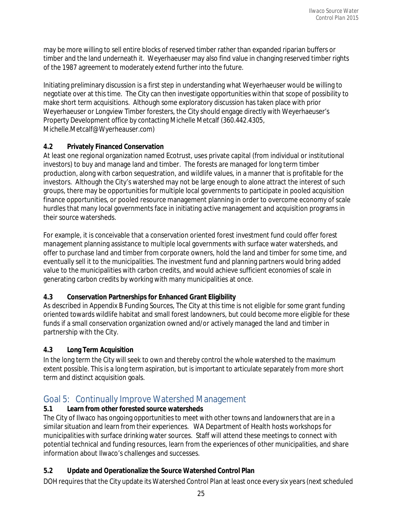may be more willing to sell entire blocks of reserved timber rather than expanded riparian buffers or timber and the land underneath it. Weyerhaeuser may also find value in changing reserved timber rights of the 1987 agreement to moderately extend further into the future.

Initiating preliminary discussion is a first step in understanding what Weyerhaeuser would be willing to negotiate over at this time. The City can then investigate opportunities within that scope of possibility to make short term acquisitions. Although some exploratory discussion has taken place with prior Weyerhaeuser or Longview Timber foresters, the City should engage directly with Weyerhaeuser's Property Development office by contacting Michelle Metcalf (360.442.4305, Michelle.Metcalf@Wyerheauser.com)

#### **4.2 Privately Financed Conservation**

At least one regional organization named Ecotrust, uses private capital (from individual or institutional investors) to buy and manage land and timber. The forests are managed for long term timber production, along with carbon sequestration, and wildlife values, in a manner that is profitable for the investors. Although the City's watershed may not be large enough to alone attract the interest of such groups, there may be opportunities for multiple local governments to participate in pooled acquisition finance opportunities, or pooled resource management planning in order to overcome economy of scale hurdles that many local governments face in initiating active management and acquisition programs in their source watersheds.

For example, it is conceivable that a conservation oriented forest investment fund could offer forest management planning assistance to multiple local governments with surface water watersheds, and offer to purchase land and timber from corporate owners, hold the land and timber for some time, and eventually sell it to the municipalities. The investment fund and planning partners would bring added value to the municipalities with carbon credits, and would achieve sufficient economies of scale in generating carbon credits by working with many municipalities at once.

### **4.3 Conservation Partnerships for Enhanced Grant Eligibility**

As described in Appendix B Funding Sources, The City at this time is not eligible for some grant funding oriented towards wildlife habitat and small forest landowners, but could become more eligible for these funds if a small conservation organization owned and/or actively managed the land and timber in partnership with the City.

### **4.3 Long Term Acquisition**

In the long term the City will seek to own and thereby control the whole watershed to the maximum extent possible. This is a long term aspiration, but is important to articulate separately from more short term and distinct acquisition goals.

# Goal 5: Continually Improve Watershed Management

### **5.1 Learn from other forested source watersheds**

The City of Ilwaco has ongoing opportunities to meet with other towns and landowners that are in a similar situation and learn from their experiences. WA Department of Health hosts workshops for municipalities with surface drinking water sources. Staff will attend these meetings to connect with potential technical and funding resources, learn from the experiences of other municipalities, and share information about Ilwaco's challenges and successes.

### **5.2 Update and Operationalize the Source Watershed Control Plan**

DOH requires that the City update its Watershed Control Plan at least once every six years(next scheduled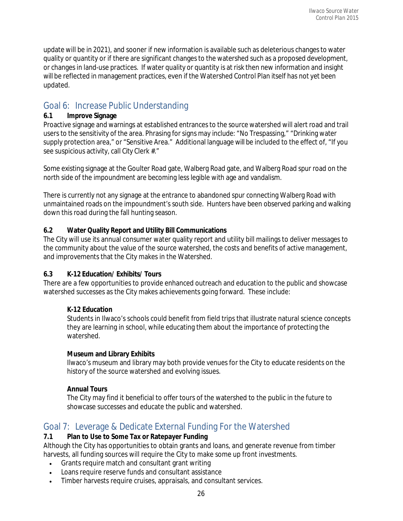update will be in 2021), and sooner if new information is available such as deleterious changesto water quality or quantity or if there are significant changes to the watershed such as a proposed development, or changes in land‐use practices. If water quality or quantity is at risk then new information and insight will be reflected in management practices, even if the Watershed Control Plan itself has not yet been updated.

# Goal 6: Increase Public Understanding

#### **6.1 Improve Signage**

Proactive signage and warnings at established entrances to the source watershed will alert road and trail users to the sensitivity of the area. Phrasing for signs may include: "No Trespassing," "Drinking water supply protection area," or "Sensitive Area." Additional language will be included to the effect of, "If you see suspicious activity, call City Clerk #."

Some existing signage at the Goulter Road gate, Walberg Road gate, and Walberg Road spur road on the north side of the impoundment are becoming less legible with age and vandalism.

There is currently not any signage at the entrance to abandoned spur connecting Walberg Road with unmaintained roads on the impoundment's south side. Hunters have been observed parking and walking down this road during the fall hunting season.

#### **6.2 Water Quality Report and Utility Bill Communications**

The City will use its annual consumer water quality report and utility bill mailings to deliver messages to the community about the value of the source watershed, the costs and benefits of active management, and improvements that the City makes in the Watershed.

#### **6.3 K-12 Education/ Exhibits/ Tours**

There are a few opportunities to provide enhanced outreach and education to the public and showcase watershed successes as the City makes achievements going forward. These include:

#### **K-12 Education**

Students in Ilwaco's schools could benefit from field trips that illustrate natural science concepts they are learning in school, while educating them about the importance of protecting the watershed.

#### **Museum and Library Exhibits**

Ilwaco's museum and library may both provide venues for the City to educate residents on the history of the source watershed and evolving issues.

#### **Annual Tours**

The City may find it beneficial to offer tours of the watershed to the public in the future to showcase successes and educate the public and watershed.

# Goal 7: Leverage & Dedicate External Funding For the Watershed

### **7.1 Plan to Use to Some Tax or Ratepayer Funding**

Although the City has opportunities to obtain grants and loans, and generate revenue from timber harvests, all funding sources will require the City to make some up front investments.

- Grants require match and consultant grant writing
- Loans require reserve funds and consultant assistance
- Timber harvests require cruises, appraisals, and consultant services.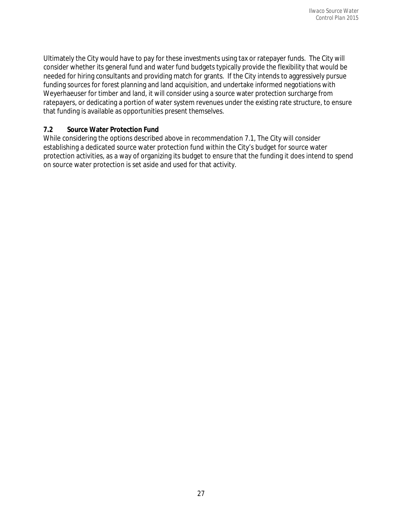Ultimately the City would have to pay for these investments using tax or ratepayer funds. The City will consider whether its general fund and water fund budgets typically provide the flexibility that would be needed for hiring consultants and providing match for grants. If the City intends to aggressively pursue funding sources for forest planning and land acquisition, and undertake informed negotiations with Weyerhaeuser for timber and land, it will consider using a source water protection surcharge from ratepayers, or dedicating a portion of water system revenues under the existing rate structure, to ensure that funding is available as opportunities present themselves.

#### **7.2 Source Water Protection Fund**

While considering the options described above in recommendation 7.1, The City will consider establishing a dedicated source water protection fund within the City's budget for source water protection activities, as a way of organizing its budget to ensure that the funding it does intend to spend on source water protection is set aside and used for that activity.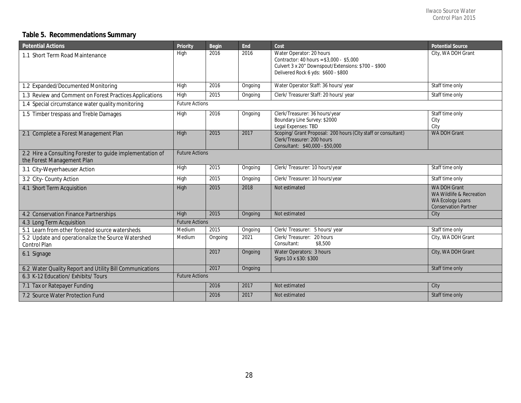### **Table 5. Recommendations Summary**

| <b>Potential Actions</b>                                                                | Priority              | Begin   | End     | Cost                                                                                                                                                               | <b>Potential Source</b>                                                                                   |
|-----------------------------------------------------------------------------------------|-----------------------|---------|---------|--------------------------------------------------------------------------------------------------------------------------------------------------------------------|-----------------------------------------------------------------------------------------------------------|
| 1.1 Short Term Road Maintenance                                                         | High                  | 2016    | 2016    | Water Operator: 20 hours<br>Contractor: 40 hours = \$3,000 - \$5,000<br>Culvert 3 x 20" Downspout/Extensions: \$700 - \$900<br>Delivered Rock 6 yds: \$600 - \$800 | City, WA DOH Grant                                                                                        |
| 1.2 Expanded/Documented Monitoring                                                      | High                  | 2016    | Ongoing | Water Operator Staff: 36 hours/ year                                                                                                                               | Staff time only                                                                                           |
| 1.3 Review and Comment on Forest Practices Applications                                 | High                  | 2015    | Ongoing | Clerk/Treasurer Staff: 20 hours/ year                                                                                                                              | Staff time only                                                                                           |
| 1.4 Special circumstance water quality monitoring                                       | <b>Future Actions</b> |         |         |                                                                                                                                                                    |                                                                                                           |
| 1.5 Timber trespass and Treble Damages                                                  | High                  | 2016    | Ongoing | Clerk/Treasurer: 36 hours/year<br>Boundary Line Survey: \$2000<br>Legal Expenses: TBD                                                                              | Staff time only<br>City<br>City                                                                           |
| 2.1 Complete a Forest Management Plan                                                   | High                  | 2015    | 2017    | Scoping/ Grant Proposal: 200 hours (City staff or consultant)<br>Clerk/Treasurer: 200 hours<br>Consultant: \$40,000 - \$50,000                                     | <b>WA DOH Grant</b>                                                                                       |
| 2.2 Hire a Consulting Forester to guide implementation of<br>the Forest Management Plan | <b>Future Actions</b> |         |         |                                                                                                                                                                    |                                                                                                           |
| 3.1 City-Weyerhaeuser Action                                                            | High                  | 2015    | Ongoing | Clerk/Treasurer: 10 hours/year                                                                                                                                     | Staff time only                                                                                           |
| 3.2 City- County Action                                                                 | High                  | 2015    | Ongoing | Clerk/Treasurer: 10 hours/year                                                                                                                                     | Staff time only                                                                                           |
| 4.1 Short Term Acquisition                                                              | High                  | 2015    | 2018    | Not estimated                                                                                                                                                      | <b>WA DOH Grant</b><br>WA Wildlife & Recreation<br><b>WA Ecology Loans</b><br><b>Conservation Partner</b> |
| 4.2 Conservation Finance Partnerships                                                   | High                  | 2015    | Ongoing | Not estimated                                                                                                                                                      | City                                                                                                      |
| 4.3 Long Term Acquisition                                                               | <b>Future Actions</b> |         |         |                                                                                                                                                                    |                                                                                                           |
| 5.1 Learn from other forested source watersheds                                         | Medium                | 2015    | Ongoing | Clerk/Treasurer: 5 hours/ year                                                                                                                                     | Staff time only                                                                                           |
| 5.2 Update and operationalize the Source Watershed<br>Control Plan                      | Medium                | Ongoing | 2021    | Clerk/Treasurer:<br>20 hours<br>Consultant:<br>\$8,500                                                                                                             | City, WA DOH Grant                                                                                        |
| 6.1 Signage                                                                             |                       | 2017    | Ongoing | Water Operators: 3 hours<br>Signs 10 x \$30: \$300                                                                                                                 | City, WA DOH Grant                                                                                        |
| 6.2 Water Quality Report and Utility Bill Communications                                |                       | 2017    | Ongoing |                                                                                                                                                                    | Staff time only                                                                                           |
| 6.3 K-12 Education/ Exhibits/ Tours                                                     | <b>Future Actions</b> |         |         |                                                                                                                                                                    |                                                                                                           |
| 7.1 Tax or Ratepayer Funding                                                            |                       | 2016    | 2017    | Not estimated                                                                                                                                                      | City                                                                                                      |
| 7.2 Source Water Protection Fund                                                        |                       | 2016    | 2017    | Not estimated                                                                                                                                                      | Staff time only                                                                                           |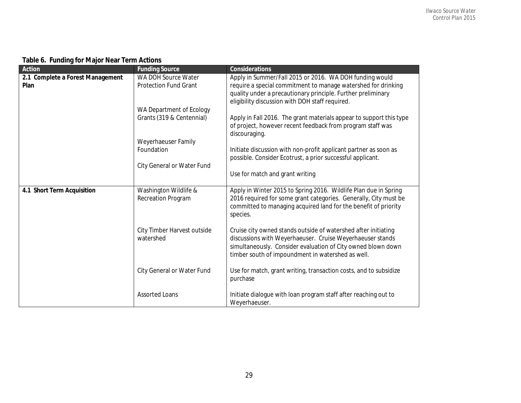|  |  |  | Table 6. Funding for Major Near Term Actions |  |
|--|--|--|----------------------------------------------|--|
|--|--|--|----------------------------------------------|--|

| Action                           | <b>Funding Source</b>        | <b>Considerations</b>                                                         |
|----------------------------------|------------------------------|-------------------------------------------------------------------------------|
| 2.1 Complete a Forest Management | WA DOH Source Water          | Apply in Summer/Fall 2015 or 2016. WA DOH funding would                       |
| Plan                             | <b>Protection Fund Grant</b> | require a special commitment to manage watershed for drinking                 |
|                                  |                              | quality under a precautionary principle. Further preliminary                  |
|                                  |                              | eligibility discussion with DOH staff required.                               |
|                                  | WA Department of Ecology     |                                                                               |
|                                  | Grants (319 & Centennial)    | Apply in Fall 2016. The grant materials appear to support this type           |
|                                  |                              | of project, however recent feedback from program staff was<br>discouraging.   |
|                                  | Weyerhaeuser Family          |                                                                               |
|                                  | Foundation                   | Initiate discussion with non-profit applicant partner as soon as              |
|                                  |                              | possible. Consider Ecotrust, a prior successful applicant.                    |
|                                  | City General or Water Fund   |                                                                               |
|                                  |                              | Use for match and grant writing                                               |
| 4.1 Short Term Acquisition       | Washington Wildlife &        | Apply in Winter 2015 to Spring 2016. Wildlife Plan due in Spring              |
|                                  | Recreation Program           | 2016 required for some grant categories. Generally, City must be              |
|                                  |                              | committed to managing acquired land for the benefit of priority               |
|                                  |                              | species.                                                                      |
|                                  |                              |                                                                               |
|                                  | City Timber Harvest outside  | Cruise city owned stands outside of watershed after initiating                |
|                                  | watershed                    | discussions with Weyerhaeuser. Cruise Weyerhaeuser stands                     |
|                                  |                              | simultaneously. Consider evaluation of City owned blown down                  |
|                                  |                              | timber south of impoundment in watershed as well.                             |
|                                  |                              |                                                                               |
|                                  | City General or Water Fund   | Use for match, grant writing, transaction costs, and to subsidize<br>purchase |
|                                  |                              |                                                                               |
|                                  | <b>Assorted Loans</b>        | Initiate dialogue with loan program staff after reaching out to               |
|                                  |                              | Weyerhaeuser.                                                                 |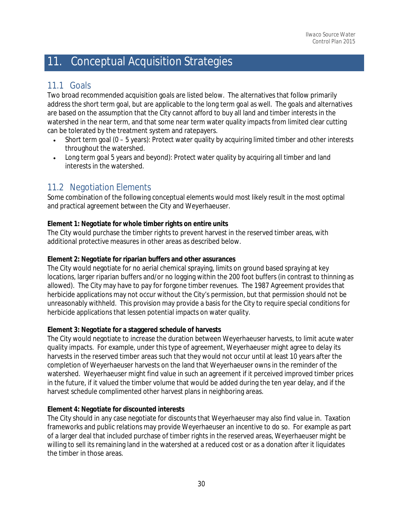# 11. Conceptual Acquisition Strategies

### 11.1 Goals

Two broad recommended acquisition goals are listed below. The alternatives that follow primarily address the short term goal, but are applicable to the long term goal as well. The goals and alternatives are based on the assumption that the City cannot afford to buy all land and timber interests in the watershed in the near term, and that some near term water quality impacts from limited clear cutting can be tolerated by the treatment system and ratepayers.

- Short term goal  $(0 5$  years): Protect water quality by acquiring limited timber and other interests throughout the watershed.
- Long term goal 5 years and beyond): Protect water quality by acquiring all timber and land interests in the watershed.

# 11.2 Negotiation Elements

Some combination of the following conceptual elements would most likely result in the most optimal and practical agreement between the City and Weyerhaeuser.

#### **Element 1: Negotiate for whole timber rights on entire units**

The City would purchase the timber rights to prevent harvest in the reserved timber areas, with additional protective measures in other areas as described below.

#### **Element 2: Negotiate for riparian buffers and other assurances**

The City would negotiate for no aerial chemical spraying, limits on ground based spraying at key locations, larger riparian buffers and/or no logging within the 200 foot buffers (in contrast to thinning as allowed). The City may have to pay for forgone timber revenues. The 1987 Agreement provides that herbicide applications may not occur without the City's permission, but that permission should not be unreasonably withheld. This provision may provide a basis for the City to require special conditions for herbicide applications that lessen potential impacts on water quality.

#### **Element 3: Negotiate for a staggered schedule of harvests**

The City would negotiate to increase the duration between Weyerhaeuser harvests, to limit acute water quality impacts. For example, under this type of agreement, Weyerhaeuser might agree to delay its harvests in the reserved timber areas such that they would not occur until at least 10 years after the completion of Weyerhaeuser harvests on the land that Weyerhaeuser owns in the reminder of the watershed. Weyerhaeuser might find value in such an agreement if it perceived improved timber prices in the future, if it valued the timber volume that would be added during the ten year delay, and if the harvest schedule complimented other harvest plans in neighboring areas.

#### **Element 4: Negotiate for discounted interests**

The City should in any case negotiate for discounts that Weyerhaeuser may also find value in. Taxation frameworks and public relations may provide Weyerhaeuser an incentive to do so. For example as part of a larger deal that included purchase of timber rights in the reserved areas, Weyerhaeuser might be willing to sell its remaining land in the watershed at a reduced cost or as a donation after it liquidates the timber in those areas.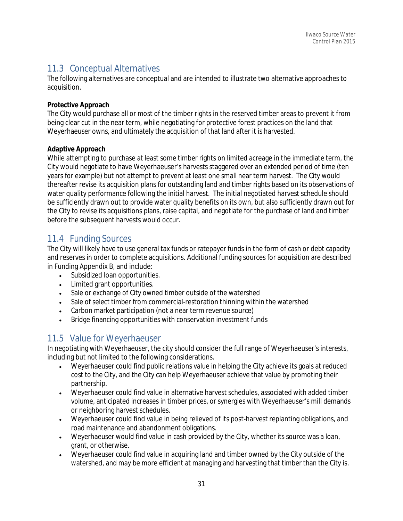# 11.3 Conceptual Alternatives

The following alternatives are conceptual and are intended to illustrate two alternative approaches to acquisition.

#### **Protective Approach**

The City would purchase all or most of the timber rights in the reserved timber areas to prevent it from being clear cut in the near term, while negotiating for protective forest practices on the land that Weyerhaeuser owns, and ultimately the acquisition of that land after it is harvested.

#### **Adaptive Approach**

While attempting to purchase at least some timber rights on limited acreage in the immediate term, the City would negotiate to have Weyerhaeuser's harvests staggered over an extended period of time (ten years for example) but not attempt to prevent at least one small near term harvest. The City would thereafter revise its acquisition plans for outstanding land and timber rights based on its observations of water quality performance following the initial harvest. The initial negotiated harvest schedule should be sufficiently drawn out to provide water quality benefits on its own, but also sufficiently drawn out for the City to revise its acquisitions plans, raise capital, and negotiate for the purchase of land and timber before the subsequent harvests would occur.

# 11.4 Funding Sources

The City will likely have to use general tax funds or ratepayer funds in the form of cash or debt capacity and reserves in order to complete acquisitions. Additional funding sources for acquisition are described in Funding Appendix B, and include:

- Subsidized loan opportunities.
- Limited grant opportunities.
- Sale or exchange of City owned timber outside of the watershed
- Sale of select timber from commercial-restoration thinning within the watershed
- Carbon market participation (not a near term revenue source)
- Bridge financing opportunities with conservation investment funds

# 11.5 Value for Weyerhaeuser

In negotiating with Weyerhaeuser, the city should consider the full range of Weyerhaeuser's interests, including but not limited to the following considerations.

- Weyerhaeuser could find public relations value in helping the City achieve its goals at reduced cost to the City, and the City can help Weyerhaeuser achieve that value by promoting their partnership.
- Weyerhaeuser could find value in alternative harvest schedules, associated with added timber volume, anticipated increases in timber prices, or synergies with Weyerhaeuser's mill demands or neighboring harvest schedules.
- Weyerhaeuser could find value in being relieved of its post-harvest replanting obligations, and road maintenance and abandonment obligations.
- Weyerhaeuser would find value in cash provided by the City, whether its source was a loan, grant, or otherwise.
- Weyerhaeuser could find value in acquiring land and timber owned by the City outside of the watershed, and may be more efficient at managing and harvesting that timber than the City is.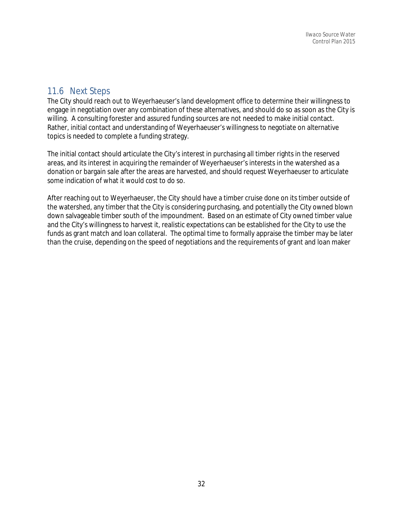# 11.6 Next Steps

The City should reach out to Weyerhaeuser's land development office to determine their willingness to engage in negotiation over any combination of these alternatives, and should do so as soon as the City is willing. A consulting forester and assured funding sources are not needed to make initial contact. Rather, initial contact and understanding of Weyerhaeuser's willingness to negotiate on alternative topics is needed to complete a funding strategy.

The initial contact should articulate the City's interest in purchasing all timber rights in the reserved areas, and its interest in acquiring the remainder of Weyerhaeuser's interests in the watershed as a donation or bargain sale after the areas are harvested, and should request Weyerhaeuser to articulate some indication of what it would cost to do so.

After reaching out to Weyerhaeuser, the City should have a timber cruise done on its timber outside of the watershed, any timber that the City is considering purchasing, and potentially the City owned blown down salvageable timber south of the impoundment. Based on an estimate of City owned timber value and the City's willingness to harvest it, realistic expectations can be established for the City to use the funds as grant match and loan collateral. The optimal time to formally appraise the timber may be later than the cruise, depending on the speed of negotiations and the requirements of grant and loan maker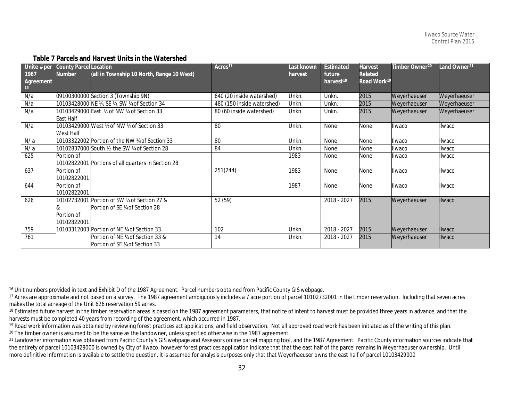| Unite $# per$<br>1987<br>Agreement<br>16 | <b>County Parcel Location</b><br>Number | (all in Township 10 North, Range 10 West)                                    | Acres <sup>17</sup>        | Last known<br>harvest | Estimated<br>future<br>harvest <sup>18</sup> | Harvest<br>Related<br>Road Work <sup>19</sup> | Timber Owner <sup>20</sup> | Land Owner <sup>21</sup> |
|------------------------------------------|-----------------------------------------|------------------------------------------------------------------------------|----------------------------|-----------------------|----------------------------------------------|-----------------------------------------------|----------------------------|--------------------------|
| N/a                                      |                                         | 09100300000 Section 3 (Township 9N)                                          | 640 (20 inside watershed)  | Unkn.                 | Unkn.                                        | 2015                                          | Weyerhaeuser               | Weyerhaeuser             |
| N/a                                      |                                         | 10103428000 NE ¼, SE ¼, SW ¼ of Section 34                                   | 480 (150 inside watershed) | Unkn.                 | Unkn.                                        | 2015                                          | Weyerhaeuser               | Weyerhaeuser             |
| N/a                                      | East Half                               | 10103429000 East 1/2 of NW 1/4 of Section 33                                 | 80 (60 inside watershed)   | Unkn.                 | Unkn.                                        | 2015                                          | Weyerhaeuser               | Weyerhaeuser             |
| N/a                                      | West Half                               | 10103429000 West ½ of NW ¼ of Section 33                                     | 80                         | Unkn.                 | None                                         | None                                          | Ilwaco                     | Ilwaco                   |
| N/a                                      |                                         | 10103322002 Portion of the NW ¼ of Section 33                                | 80                         | Unkn.                 | None                                         | None                                          | Ilwaco                     | Ilwaco                   |
| N/a                                      |                                         | 10102837000 South 1/2 the SW 1/4 of Section 28                               | 84                         | Unkn.                 | None                                         | None                                          | Ilwaco                     | Ilwaco                   |
| 625                                      | Portion of                              | 10102822001 Portions of all quarters in Section 28                           |                            | 1983                  | None                                         | None                                          | Ilwaco                     | Ilwaco                   |
| 637                                      | Portion of<br>10102822001               |                                                                              | 251(244)                   | 1983                  | None                                         | None                                          | Ilwaco                     | Ilwaco                   |
| 644                                      | Portion of<br>10102822001               |                                                                              |                            | 1987                  | None                                         | None                                          | Ilwaco                     | Ilwaco                   |
| 626                                      | Portion of<br>10102822001               | 10102732001 Portion of SW ¼ of Section 27 &<br>Portion of SE ¼ of Section 28 | 52 (59)                    |                       | 2018 - 2027                                  | 2015                                          | Weyerhaeuser               | Ilwaco                   |
| 759                                      |                                         | 10103312003 Portion of NE ¼ of Section 33                                    | 102                        | Unkn.                 | 2018 - 2027                                  | 2015                                          | Weyerhaeuser               | Ilwaco                   |
| 761                                      |                                         | Portion of NE ¼ of Section 33 &<br>Portion of SE ¼ of Section 33             | 14                         | Unkn.                 | 2018 - 2027                                  | 2015                                          | Weyerhaeuser               | <b>Ilwaco</b>            |

#### <span id="page-34-5"></span><span id="page-34-4"></span><span id="page-34-3"></span><span id="page-34-2"></span><span id="page-34-1"></span><span id="page-34-0"></span>**Table 7 Parcels and Harvest Units in the Watershed**

 $\overline{a}$ 

<sup>16</sup> Unit numbers provided in text and Exhibit D of the 1987 Agreement. Parcel numbers obtained from Pacific County GIS webpage.

<sup>&</sup>lt;sup>17</sup> Acres are approximate and not based on a survey. The 1987 agreement ambiguously includes a 7 acre portion of parcel 10102732001 in the timber reservation. Including that seven acres makes the total acreage of the Unit 626 reservation 59 acres.

<sup>18</sup> Estimated future harvest in the timber reservation areas is based on the 1987 agreement parameters, that notice of intent to harvest must be provided three years in advance, and that the harvests must be completed 40 years from recording of the agreement, which occurred in 1987.

<sup>&</sup>lt;sup>19</sup> Road work information was obtained by reviewing forest practices act applications, and field observation. Not all approved road work has been initiated as of the writing of this plan.<br><sup>20</sup> The timber owner is assumed

the entirety of parcel 10103429000 is owned by City of Ilwaco, however forest practices application indicate that that the east half of the parcel remains in Weyerhaeuser ownership. Until more definitive information is available to settle the question, it is assumed for analysis purposes only that that Weyerhaeuser owns the east half of parcel 10103429000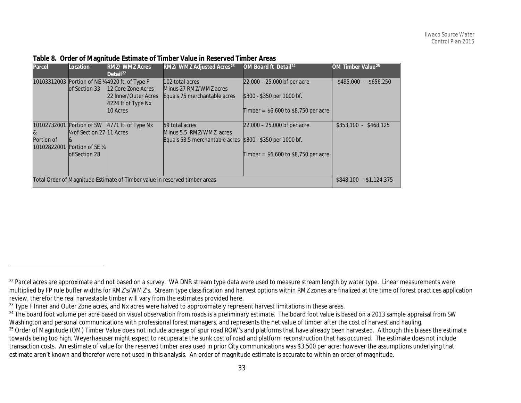| Parcel                    | Location                   | <b>RMZ/ WMZ Acres</b><br>Detail <sup>22</sup>                              | RMZ/ WMZ Adjusted Acres <sup>23</sup>                  | OM Board ft Detail <sup>24</sup>       | OM Timber Value <sup>25</sup> |
|---------------------------|----------------------------|----------------------------------------------------------------------------|--------------------------------------------------------|----------------------------------------|-------------------------------|
|                           |                            | 10103312003 Portion of NE ¼4920 ft. of Type F                              | 102 total acres                                        | $22,000 - 25,000$ bf per acre          | $$495,000 - $656,250$         |
|                           | lof Section 33             | 12 Core Zone Acres<br>22 Inner/Outer Acres<br>4224 ft of Type Nx           | Minus 27 RMZ/WMZ acres<br>Equals 75 merchantable acres | \$300 - \$350 per 1000 bf.             |                               |
|                           |                            | 10 Acres                                                                   |                                                        | Timber = $$6,600$ to \$8,750 per acre  |                               |
|                           | 10102732001 Portion of SW  | 4771 ft. of Type Nx                                                        | 59 total acres                                         | $22,000 - 25,000$ bf per acre          | $$353,100 - $468,125$         |
| 8                         | 1/4 of Section 27 11 Acres |                                                                            | Minus 5.5 RMZ/WMZ acres                                |                                        |                               |
| Portion of<br>10102822001 | Portion of SE 1/4          |                                                                            | Equals 53.5 merchantable acres                         | $$300 - $350$ per 1000 bf.             |                               |
|                           | of Section 28              |                                                                            |                                                        | Timber = $$6,600$ to $$8,750$ per acre |                               |
|                           |                            |                                                                            |                                                        |                                        |                               |
|                           |                            | Total Order of Magnitude Estimate of Timber value in reserved timber areas |                                                        |                                        | $$848,100 - $1,124,375$       |

<span id="page-35-3"></span><span id="page-35-2"></span><span id="page-35-1"></span><span id="page-35-0"></span>**Table 8. Order of Magnitude Estimate of Timber Value in Reserved Timber Areas**

 $\overline{a}$ 

<sup>&</sup>lt;sup>22</sup> Parcel acres are approximate and not based on a survey. WA DNR stream type data were used to measure stream length by water type. Linear measurements were multiplied by FP rule buffer widths for RMZ's/WMZ's. Stream type classification and harvest options within RMZ zones are finalized at the time of forest practices application review, therefor the real harvestable timber will vary from the estimates provided here.

<sup>&</sup>lt;sup>23</sup> Type F Inner and Outer Zone acres, and Nx acres were halved to approximately represent harvest limitations in these areas.

<sup>&</sup>lt;sup>24</sup> The board foot volume per acre based on visual observation from roads is a preliminary estimate. The board foot value is based on a 2013 sample appraisal from SW Washington and personal communications with professional forest managers, and represents the net value of timber after the cost of harvest and hauling. <sup>25</sup> Order of Magnitude (OM) Timber Value does not include acreage of spur road ROW's and platforms that have already been harvested. Although this biases the estimate towards being too high, Weyerhaeuser might expect to recuperate the sunk cost of road and platform reconstruction that has occurred. The estimate does not include transaction costs. An estimate of value for the reserved timber area used in prior City communications was \$3,500 per acre; however the assumptions underlying that estimate aren't known and therefor were not used in this analysis. An order of magnitude estimate is accurate to within an order of magnitude.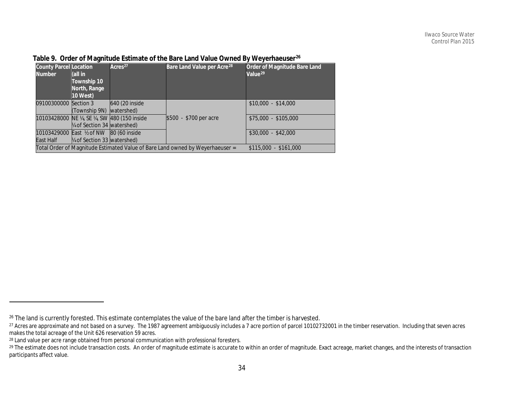| <b>County Parcel Location</b><br><b>Number</b> | (all in<br>Township 10<br>North, Range<br>10 West)                       | Acres <sup>27</sup>                        | Bare Land Value per Acre <sup>28</sup>                                        | Order of Magnitude Bare Land<br>Value <sup>29</sup> |
|------------------------------------------------|--------------------------------------------------------------------------|--------------------------------------------|-------------------------------------------------------------------------------|-----------------------------------------------------|
| 09100300000 Section 3                          | (Township 9N) watershed)                                                 | 640 (20 inside                             |                                                                               | $$10,000 - $14,000$                                 |
|                                                | 1/4 of Section 34 watershed)                                             | 10103428000 NE ¼, SE ¼, SW 480 (150 inside | \$500 - \$700 per acre                                                        | \$75,000 - \$105,000                                |
| East Half                                      | 10103429000 East 1/2 of NW 80 (60 inside<br>1/4 of Section 33 watershed) |                                            |                                                                               | $$30,000 - $42,000$                                 |
|                                                |                                                                          |                                            | Total Order of Magnitude Estimated Value of Bare Land owned by Weyerhaeuser = | $$115,000 - $161,000$                               |

### <span id="page-36-3"></span><span id="page-36-2"></span><span id="page-36-1"></span><span id="page-36-0"></span>**Table 9. Order of Magnitude Estimate of the Bare Land Value Owned By Weyerhaeuser[26](#page-36-0)**

 $\overline{a}$ 

<sup>&</sup>lt;sup>26</sup> The land is currently forested. This estimate contemplates the value of the bare land after the timber is harvested.<br><sup>27</sup> Acres are approximate and not based on a survey. The 1987 agreement ambiguously includes a 7 ac makes the total acreage of the Unit 626 reservation 59 acres.

<sup>&</sup>lt;sup>28</sup> Land value per acre range obtained from personal communication with professional foresters.

<sup>&</sup>lt;sup>29</sup> The estimate does not include transaction costs. An order of magnitude estimate is accurate to within an order of magnitude. Exact acreage, market changes, and the interests of transaction participants affect value.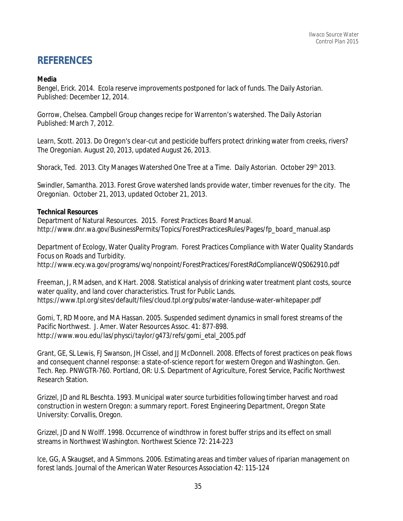# **REFERENCES**

#### **Media**

[Bengel,](http://www.dailyastorian.com/apps/pbcs.dll/section?category=staff&template=staffProfilePages&staffID=ebengel) Erick. 2014. Ecola reserve improvements postponed for lack of funds. The Daily Astorian. Published: December 12, 2014.

Gorrow, Chelsea. Campbell Group changes recipe for Warrenton's watershed. The Daily Astorian Published: March 7, 2012.

Learn, Scott. 2013. Do Oregon's clear-cut and pesticide buffers protect drinking water from creeks, rivers? [The Oregonian.](http://connect.oregonlive.com/user/slearn/posts.html) August 20, 2013, updated August 26, 2013.

Shorack, Ted. 2013. City Manages Watershed One Tree at a Time. Daily Astorian. October 29th 2013.

Swindler, Samantha. 2013. Forest Grove watershed lands provide water, timber revenues for the city. The Oregonian. October 21, 2013, updated October 21, 2013.

#### **Technical Resources**

Department of Natural Resources. 2015. Forest Practices Board Manual. http://www.dnr.wa.gov/BusinessPermits/Topics/ForestPracticesRules/Pages/fp\_board\_manual.asp

Department of Ecology, Water Quality Program. Forest Practices Compliance with Water Quality Standards Focus on Roads and Turbidity.

http://www.ecy.wa.gov/programs/wq/nonpoint/ForestPractices/ForestRdComplianceWQS062910.pdf

Freeman, J, R Madsen, and K Hart. 2008. Statistical analysis of drinking water treatment plant costs, source water quality, and land cover characteristics. Trust for Public Lands. https://www.tpl.org/sites/default/files/cloud.tpl.org/pubs/water‐landuse‐water‐whitepaper.pdf

Gomi, T, RD Moore, and MA Hassan. 2005. Suspended sediment dynamics in small forest streams of the Pacific Northwest. J. Amer. Water Resources Assoc. 41: 877‐898. [http://www.wou.edu/las/physci/taylor/g473/refs/gomi\\_etal\\_2005.pdf](http://www.wou.edu/las/physci/taylor/g473/refs/gomi_etal_2005.pdf)

Grant, GE, SL Lewis, FJ Swanson, JH Cissel, and JJ McDonnell. 2008. Effects of forest practices on peak flows and consequent channel response: a state‐of‐science report for western Oregon and Washington. Gen. Tech. Rep. PNWGTR‐760. Portland, OR: U.S. Department of Agriculture, Forest Service, Pacific Northwest Research Station.

Grizzel, JD and RL Beschta. 1993. Municipal water source turbidities following timber harvest and road construction in western Oregon: a summary report. Forest Engineering Department, Oregon State University: Corvallis, Oregon.

Grizzel, JD and N Wolff. 1998. Occurrence of windthrow in forest buffer strips and its effect on small streams in Northwest Washington. Northwest Science 72: 214‐223

Ice, GG, A Skaugset, and A Simmons. 2006. Estimating areas and timber values of riparian management on forest lands. Journal of the American Water Resources Association 42: 115‐124